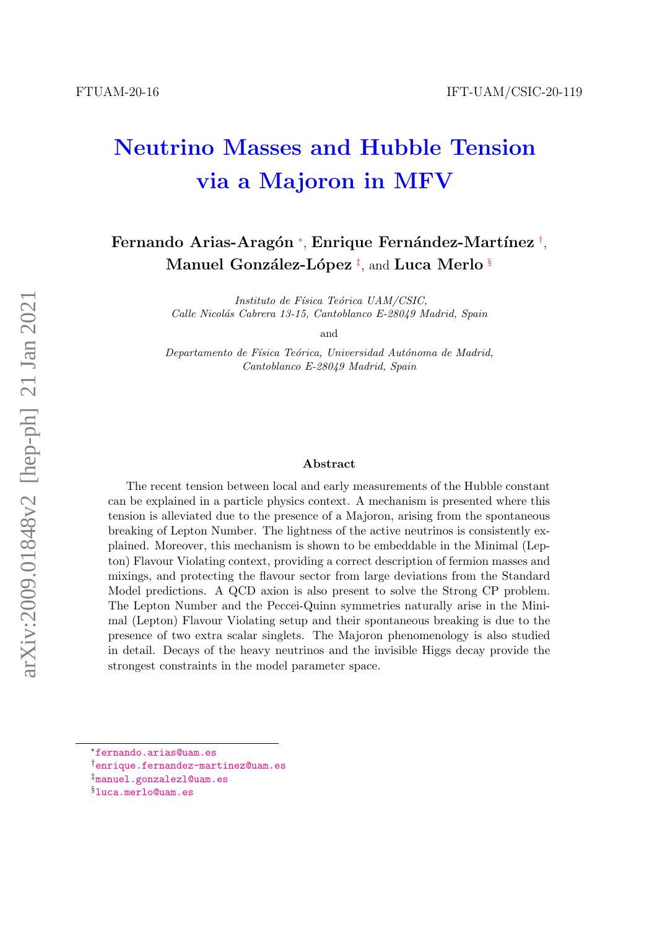# Neutrino Masses and Hubble Tension via a Majoron in MFV

# Fernando Arias-Aragón \*, Enrique Fernández-Martínez [†](#page-0-1), Manuel González-López [‡](#page-0-2), and Luca Merlo [§](#page-0-3)

Instituto de Física Teórica UAM/CSIC, Calle Nicolás Cabrera 13-15, Cantoblanco E-28049 Madrid, Spain

and

Departamento de Física Teórica, Universidad Autónoma de Madrid, Cantoblanco E-28049 Madrid, Spain

#### Abstract

The recent tension between local and early measurements of the Hubble constant can be explained in a particle physics context. A mechanism is presented where this tension is alleviated due to the presence of a Majoron, arising from the spontaneous breaking of Lepton Number. The lightness of the active neutrinos is consistently explained. Moreover, this mechanism is shown to be embeddable in the Minimal (Lepton) Flavour Violating context, providing a correct description of fermion masses and mixings, and protecting the flavour sector from large deviations from the Standard Model predictions. A QCD axion is also present to solve the Strong CP problem. The Lepton Number and the Peccei-Quinn symmetries naturally arise in the Minimal (Lepton) Flavour Violating setup and their spontaneous breaking is due to the presence of two extra scalar singlets. The Majoron phenomenology is also studied in detail. Decays of the heavy neutrinos and the invisible Higgs decay provide the strongest constraints in the model parameter space.

<span id="page-0-0"></span><sup>∗</sup>[fernando.arias@uam.es](mailto:fernando.arias@uam.es)

<span id="page-0-1"></span><sup>†</sup>[enrique.fernandez-martinez@uam.es](mailto:enrique.fernandez-martinez@uam.es)

<span id="page-0-2"></span><sup>‡</sup>[manuel.gonzalezl@uam.es](mailto:manuel.gonzalezl@uam.es)

<span id="page-0-3"></span><sup>§</sup>[luca.merlo@uam.es](mailto:luca.merlo@uam.es)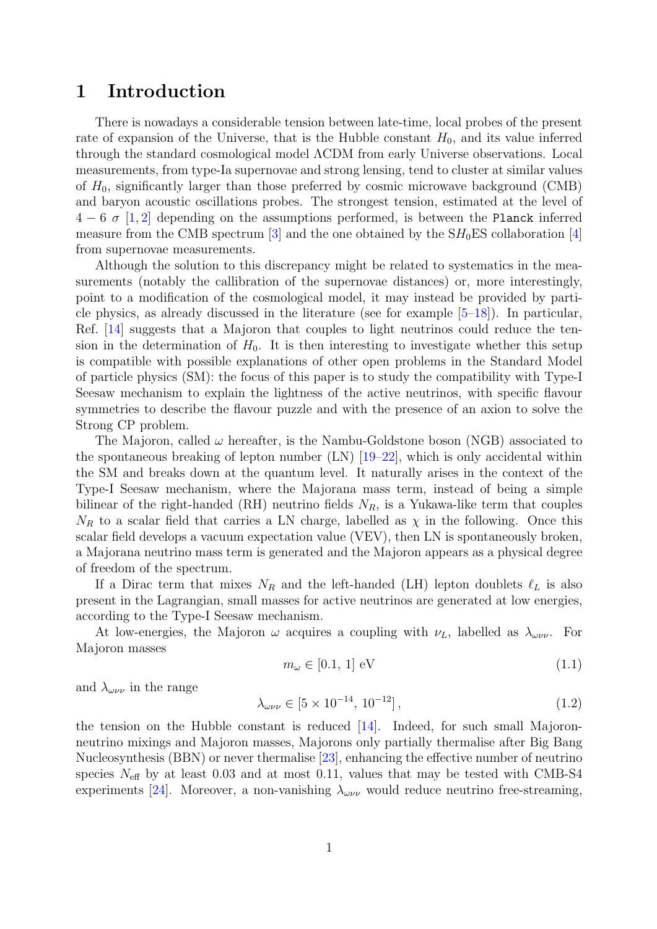## 1 Introduction

There is nowadays a considerable tension between late-time, local probes of the present rate of expansion of the Universe, that is the Hubble constant  $H_0$ , and its value inferred through the standard cosmological model ΛCDM from early Universe observations. Local measurements, from type-Ia supernovae and strong lensing, tend to cluster at similar values of  $H_0$ , significantly larger than those preferred by cosmic microwave background (CMB) and baryon acoustic oscillations probes. The strongest tension, estimated at the level of  $4-6\,\sigma$  [\[1,](#page-18-0) [2\]](#page-18-1) depending on the assumptions performed, is between the Planck inferred measure from the CMB spectrum [\[3\]](#page-18-2) and the one obtained by the  $SH<sub>0</sub>ES$  collaboration [\[4\]](#page-18-3) from supernovae measurements.

Although the solution to this discrepancy might be related to systematics in the measurements (notably the callibration of the supernovae distances) or, more interestingly, point to a modification of the cosmological model, it may instead be provided by particle physics, as already discussed in the literature (see for example [\[5–](#page-18-4)[18\]](#page-19-0)). In particular, Ref. [\[14\]](#page-18-5) suggests that a Majoron that couples to light neutrinos could reduce the tension in the determination of  $H_0$ . It is then interesting to investigate whether this setup is compatible with possible explanations of other open problems in the Standard Model of particle physics (SM): the focus of this paper is to study the compatibility with Type-I Seesaw mechanism to explain the lightness of the active neutrinos, with specific flavour symmetries to describe the flavour puzzle and with the presence of an axion to solve the Strong CP problem.

The Majoron, called  $\omega$  hereafter, is the Nambu-Goldstone boson (NGB) associated to the spontaneous breaking of lepton number  $(LN)$  [\[19](#page-19-1)[–22\]](#page-19-2), which is only accidental within the SM and breaks down at the quantum level. It naturally arises in the context of the Type-I Seesaw mechanism, where the Majorana mass term, instead of being a simple bilinear of the right-handed (RH) neutrino fields  $N_R$ , is a Yukawa-like term that couples  $N_R$  to a scalar field that carries a LN charge, labelled as  $\chi$  in the following. Once this scalar field develops a vacuum expectation value (VEV), then LN is spontaneously broken, a Majorana neutrino mass term is generated and the Majoron appears as a physical degree of freedom of the spectrum.

If a Dirac term that mixes  $N_R$  and the left-handed (LH) lepton doublets  $\ell_L$  is also present in the Lagrangian, small masses for active neutrinos are generated at low energies, according to the Type-I Seesaw mechanism.

At low-energies, the Majoron  $\omega$  acquires a coupling with  $\nu_L$ , labelled as  $\lambda_{\omega\nu\nu}$ . For Majoron masses

<span id="page-1-0"></span>
$$
m_{\omega} \in [0.1, 1] \text{ eV} \tag{1.1}
$$

and  $\lambda_{\omega\nu\nu}$  in the range

<span id="page-1-1"></span>
$$
\lambda_{\omega\nu\nu} \in [5 \times 10^{-14}, 10^{-12}], \qquad (1.2)
$$

the tension on the Hubble constant is reduced  $[14]$ . Indeed, for such small Majoronneutrino mixings and Majoron masses, Majorons only partially thermalise after Big Bang Nucleosynthesis (BBN) or never thermalise [\[23\]](#page-19-3), enhancing the effective number of neutrino species  $N_{\text{eff}}$  by at least 0.03 and at most 0.11, values that may be tested with CMB-S4 experiments [\[24\]](#page-19-4). Moreover, a non-vanishing  $\lambda_{\omega\nu\nu}$  would reduce neutrino free-streaming,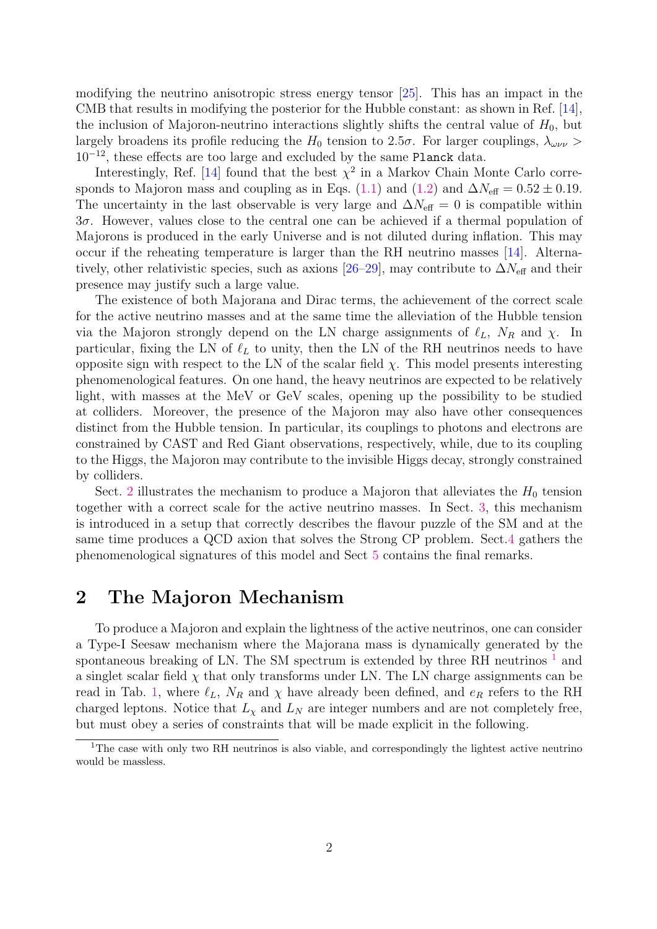modifying the neutrino anisotropic stress energy tensor [\[25\]](#page-19-5). This has an impact in the CMB that results in modifying the posterior for the Hubble constant: as shown in Ref. [\[14\]](#page-18-5), the inclusion of Majoron-neutrino interactions slightly shifts the central value of  $H_0$ , but largely broadens its profile reducing the  $H_0$  tension to 2.5 $\sigma$ . For larger couplings,  $\lambda_{\omega\nu\nu}$  >  $10^{-12}$ , these effects are too large and excluded by the same Planck data.

Interestingly, Ref. [\[14\]](#page-18-5) found that the best  $\chi^2$  in a Markov Chain Monte Carlo corre-sponds to Majoron mass and coupling as in Eqs. [\(1.1\)](#page-1-0) and [\(1.2\)](#page-1-1) and  $\Delta N_{\text{eff}} = 0.52 \pm 0.19$ . The uncertainty in the last observable is very large and  $\Delta N_{\text{eff}} = 0$  is compatible within 3σ. However, values close to the central one can be achieved if a thermal population of Majorons is produced in the early Universe and is not diluted during inflation. This may occur if the reheating temperature is larger than the RH neutrino masses [\[14\]](#page-18-5). Alterna-tively, other relativistic species, such as axions [\[26–](#page-19-6)[29\]](#page-19-7), may contribute to  $\Delta N_{\text{eff}}$  and their presence may justify such a large value.

The existence of both Majorana and Dirac terms, the achievement of the correct scale for the active neutrino masses and at the same time the alleviation of the Hubble tension via the Majoron strongly depend on the LN charge assignments of  $\ell_L$ ,  $N_R$  and  $\chi$ . In particular, fixing the LN of  $\ell_L$  to unity, then the LN of the RH neutrinos needs to have opposite sign with respect to the LN of the scalar field  $\chi$ . This model presents interesting phenomenological features. On one hand, the heavy neutrinos are expected to be relatively light, with masses at the MeV or GeV scales, opening up the possibility to be studied at colliders. Moreover, the presence of the Majoron may also have other consequences distinct from the Hubble tension. In particular, its couplings to photons and electrons are constrained by CAST and Red Giant observations, respectively, while, due to its coupling to the Higgs, the Majoron may contribute to the invisible Higgs decay, strongly constrained by colliders.

Sect. [2](#page-2-0) illustrates the mechanism to produce a Majoron that alleviates the  $H_0$  tension together with a correct scale for the active neutrino masses. In Sect. [3,](#page-8-0) this mechanism is introduced in a setup that correctly describes the flavour puzzle of the SM and at the same time produces a QCD axion that solves the Strong CP problem. Sect[.4](#page-13-0) gathers the phenomenological signatures of this model and Sect [5](#page-16-0) contains the final remarks.

## <span id="page-2-0"></span>2 The Majoron Mechanism

To produce a Majoron and explain the lightness of the active neutrinos, one can consider a Type-I Seesaw mechanism where the Majorana mass is dynamically generated by the spontaneous breaking of LN. The SM spectrum is extended by three RH neutrinos  $<sup>1</sup>$  $<sup>1</sup>$  $<sup>1</sup>$  and</sup> a singlet scalar field  $\chi$  that only transforms under LN. The LN charge assignments can be read in Tab. [1,](#page-3-0) where  $\ell_L$ ,  $N_R$  and  $\chi$  have already been defined, and  $e_R$  refers to the RH charged leptons. Notice that  $L<sub>X</sub>$  and  $L<sub>N</sub>$  are integer numbers and are not completely free, but must obey a series of constraints that will be made explicit in the following.

<span id="page-2-1"></span><sup>&</sup>lt;sup>1</sup>The case with only two RH neutrinos is also viable, and correspondingly the lightest active neutrino would be massless.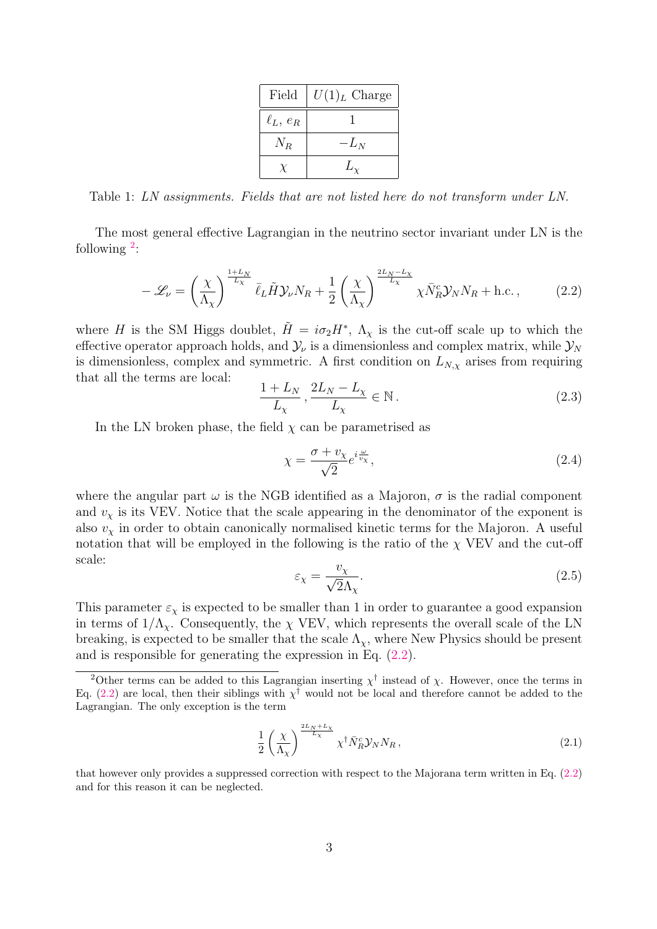| Field         | $U(1)L$ Charge |  |
|---------------|----------------|--|
| $\ell_L, e_R$ |                |  |
| $N_R$         | $-L_N$         |  |
|               |                |  |

<span id="page-3-0"></span>Table 1: LN assignments. Fields that are not listed here do not transform under LN.

The most general effective Lagrangian in the neutrino sector invariant under LN is the following  $2$ :

<span id="page-3-2"></span>
$$
-\mathscr{L}_{\nu} = \left(\frac{\chi}{\Lambda_{\chi}}\right)^{\frac{1+L_{N}}{L_{\chi}}} \bar{\ell}_{L} \tilde{H} \mathcal{Y}_{\nu} N_{R} + \frac{1}{2} \left(\frac{\chi}{\Lambda_{\chi}}\right)^{\frac{2L_{N}-L_{\chi}}{L_{\chi}}} \chi \bar{N}_{R}^{c} \mathcal{Y}_{N} N_{R} + \text{h.c.} \,, \tag{2.2}
$$

where H is the SM Higgs doublet,  $\tilde{H} = i\sigma_2 H^*$ ,  $\Lambda_\chi$  is the cut-off scale up to which the effective operator approach holds, and  $\mathcal{Y}_{\nu}$  is a dimensionless and complex matrix, while  $\mathcal{Y}_{N}$ is dimensionless, complex and symmetric. A first condition on  $L_{N,\chi}$  arises from requiring that all the terms are local:

<span id="page-3-3"></span>
$$
\frac{1+L_N}{L_\chi}, \frac{2L_N - L_\chi}{L_\chi} \in \mathbb{N} \,. \tag{2.3}
$$

In the LN broken phase, the field  $\chi$  can be parametrised as

$$
\chi = \frac{\sigma + v_{\chi}}{\sqrt{2}} e^{i \frac{\omega}{v_{\chi}}},\tag{2.4}
$$

where the angular part  $\omega$  is the NGB identified as a Majoron,  $\sigma$  is the radial component and  $v<sub>x</sub>$  is its VEV. Notice that the scale appearing in the denominator of the exponent is also  $v<sub>x</sub>$  in order to obtain canonically normalised kinetic terms for the Majoron. A useful notation that will be employed in the following is the ratio of the  $\chi$  VEV and the cut-off scale:

$$
\varepsilon_{\chi} = \frac{v_{\chi}}{\sqrt{2}\Lambda_{\chi}}.\tag{2.5}
$$

This parameter  $\varepsilon_{\chi}$  is expected to be smaller than 1 in order to guarantee a good expansion in terms of  $1/\Lambda_{\gamma}$ . Consequently, the  $\chi$  VEV, which represents the overall scale of the LN breaking, is expected to be smaller that the scale  $\Lambda_{\chi}$ , where New Physics should be present and is responsible for generating the expression in Eq. [\(2.2\)](#page-3-2).

$$
\frac{1}{2} \left( \frac{\chi}{\Lambda_{\chi}} \right)^{\frac{2L_N + L_{\chi}}{L_{\chi}}} \chi^{\dagger} \bar{N}_R^c \mathcal{Y}_N N_R , \qquad (2.1)
$$

<span id="page-3-1"></span><sup>&</sup>lt;sup>2</sup>Other terms can be added to this Lagrangian inserting  $\chi^{\dagger}$  instead of  $\chi$ . However, once the terms in Eq. [\(2.2\)](#page-3-2) are local, then their siblings with  $\chi^{\dagger}$  would not be local and therefore cannot be added to the Lagrangian. The only exception is the term

that however only provides a suppressed correction with respect to the Majorana term written in Eq. [\(2.2\)](#page-3-2) and for this reason it can be neglected.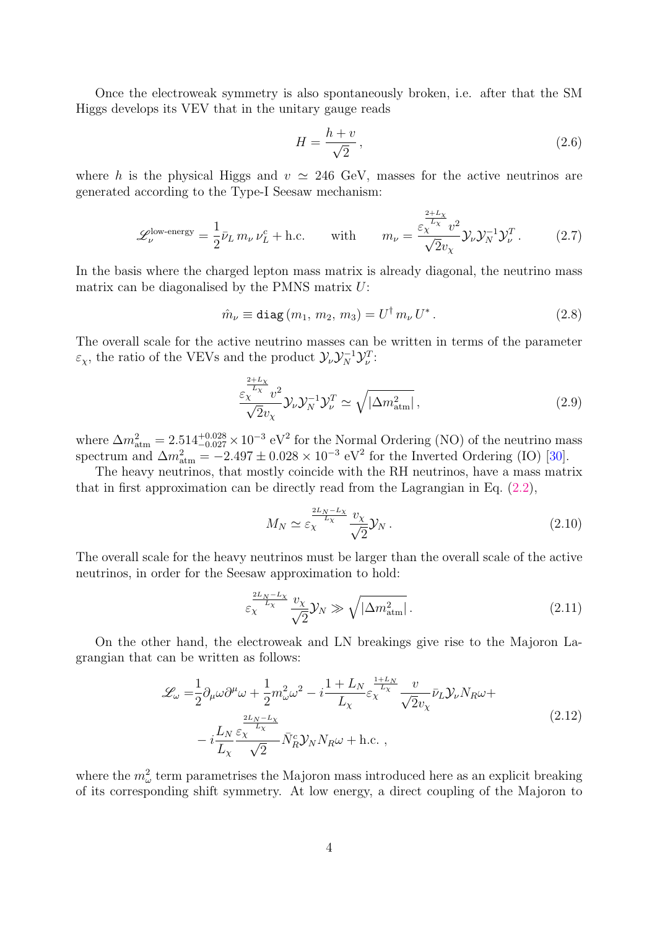Once the electroweak symmetry is also spontaneously broken, i.e. after that the SM Higgs develops its VEV that in the unitary gauge reads

$$
H = \frac{h+v}{\sqrt{2}},\tag{2.6}
$$

where h is the physical Higgs and  $v \approx 246$  GeV, masses for the active neutrinos are generated according to the Type-I Seesaw mechanism:

<span id="page-4-0"></span>
$$
\mathscr{L}_{\nu}^{\text{low-energy}} = \frac{1}{2} \bar{\nu}_L \, m_{\nu} \, \nu_L^c + \text{h.c.} \qquad \text{with} \qquad m_{\nu} = \frac{\varepsilon_{\chi}^{\frac{2+L_{\chi}}{L_{\chi}}} v^2}{\sqrt{2} v_{\chi}} \mathcal{Y}_{\nu} \mathcal{Y}_N^{-1} \mathcal{Y}_{\nu}^T. \tag{2.7}
$$

In the basis where the charged lepton mass matrix is already diagonal, the neutrino mass matrix can be diagonalised by the PMNS matrix U:

$$
\hat{m}_{\nu} \equiv \text{diag}(m_1, m_2, m_3) = U^{\dagger} m_{\nu} U^* \,. \tag{2.8}
$$

The overall scale for the active neutrino masses can be written in terms of the parameter  $\varepsilon_{\chi}$ , the ratio of the VEVs and the product  $\mathcal{Y}_{\nu} \mathcal{Y}_{N}^{-1} \mathcal{Y}_{\nu}^{T}$ :

<span id="page-4-1"></span>
$$
\frac{\varepsilon_{\chi}^{\frac{2+L_{\chi}}{L_{\chi}}}v^2}{\sqrt{2}v_{\chi}}\mathcal{Y}_{\nu}\mathcal{Y}_{N}^{-1}\mathcal{Y}_{\nu}^{T} \simeq \sqrt{|\Delta m_{\text{atm}}^2|}\,,\tag{2.9}
$$

where  $\Delta m_{\text{atm}}^2 = 2.514_{-0.027}^{+0.028} \times 10^{-3} \text{ eV}^2$  for the Normal Ordering (NO) of the neutrino mass spectrum and  $\Delta m_{\text{atm}}^2 = -2.497 \pm 0.028 \times 10^{-3} \text{ eV}^2$  for the Inverted Ordering (IO) [\[30\]](#page-19-8).

The heavy neutrinos, that mostly coincide with the RH neutrinos, have a mass matrix that in first approximation can be directly read from the Lagrangian in Eq.  $(2.2)$ ,

$$
M_N \simeq \varepsilon_\chi^{\frac{2L_N - L_\chi}{L_\chi}} \frac{v_\chi}{\sqrt{2}} \mathcal{Y}_N \,. \tag{2.10}
$$

The overall scale for the heavy neutrinos must be larger than the overall scale of the active neutrinos, in order for the Seesaw approximation to hold:

<span id="page-4-2"></span>
$$
\varepsilon_{\chi}^{\frac{2L_N - L_{\chi}}{L_{\chi}}} \frac{v_{\chi}}{\sqrt{2}} \mathcal{Y}_N \gg \sqrt{|\Delta m_{\text{atm}}^2|} \,. \tag{2.11}
$$

On the other hand, the electroweak and LN breakings give rise to the Majoron Lagrangian that can be written as follows:

$$
\mathcal{L}_{\omega} = \frac{1}{2} \partial_{\mu} \omega \partial^{\mu} \omega + \frac{1}{2} m_{\omega}^{2} \omega^{2} - i \frac{1 + L_{N}}{L_{\chi}} \varepsilon_{\chi}^{\frac{1 + L_{N}}{L_{\chi}}} \frac{v}{\sqrt{2} v_{\chi}} \bar{\nu}_{L} \mathcal{Y}_{\nu} N_{R} \omega +
$$
  

$$
- i \frac{L_{N}}{L_{\chi}} \frac{\varepsilon_{\chi}^{\frac{2L_{N} - L_{\chi}}{L_{\chi}}} {\sqrt{2}} \bar{N}_{R}^{c} \mathcal{Y}_{N} N_{R} \omega + \text{h.c.} , \qquad (2.12)
$$

<span id="page-4-3"></span>where the  $m_\omega^2$  term parametrises the Majoron mass introduced here as an explicit breaking of its corresponding shift symmetry. At low energy, a direct coupling of the Majoron to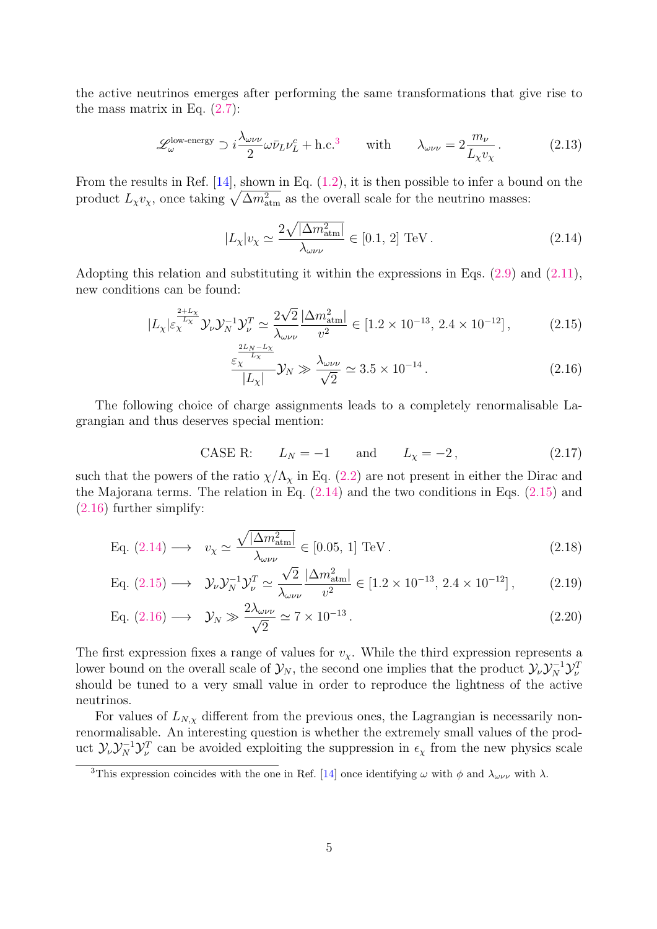the active neutrinos emerges after performing the same transformations that give rise to the mass matrix in Eq.  $(2.7)$ :

<span id="page-5-4"></span>
$$
\mathcal{L}_{\omega}^{\text{low-energy}} \supset i \frac{\lambda_{\omega\nu\nu}}{2} \omega \bar{\nu}_L \nu_L^c + \text{h.c.}^3 \qquad \text{with} \qquad \lambda_{\omega\nu\nu} = 2 \frac{m_\nu}{L_\chi v_\chi}. \tag{2.13}
$$

From the results in Ref. [\[14\]](#page-18-5), shown in Eq. [\(1.2\)](#page-1-1), it is then possible to infer a bound on the product  $L_{\chi}v_{\chi}$ , once taking  $\sqrt{\Delta m_{\text{atm}}^2}$  as the overall scale for the neutrino masses:

<span id="page-5-1"></span>
$$
|L_{\chi}|v_{\chi} \simeq \frac{2\sqrt{|\Delta m_{\text{atm}}^2|}}{\lambda_{\omega\nu\nu}} \in [0.1, 2] \text{ TeV}.
$$
 (2.14)

Adopting this relation and substituting it within the expressions in Eqs. [\(2.9\)](#page-4-1) and [\(2.11\)](#page-4-2), new conditions can be found:

$$
|L_{\chi}| \varepsilon_{\chi}^{\frac{2+L_{\chi}}{L_{\chi}}} \mathcal{Y}_{\nu} \mathcal{Y}_{N}^{-1} \mathcal{Y}_{\nu}^{T} \simeq \frac{2\sqrt{2}}{\lambda_{\omega\nu\nu}} \frac{|\Delta m_{\text{atm}}^{2}|}{v^{2}} \in [1.2 \times 10^{-13}, 2.4 \times 10^{-12}], \tag{2.15}
$$

<span id="page-5-3"></span><span id="page-5-2"></span>
$$
\frac{\varepsilon_X^{\frac{2N}{N_X}}}{|L_X|} \mathcal{Y}_N \gg \frac{\lambda_{\omega\nu\nu}}{\sqrt{2}} \simeq 3.5 \times 10^{-14} \,. \tag{2.16}
$$

The following choice of charge assignments leads to a completely renormalisable Lagrangian and thus deserves special mention:

CASE R: 
$$
L_N = -1
$$
 and  $L_\chi = -2$ , (2.17)

such that the powers of the ratio  $\chi/\Lambda_{\chi}$  in Eq. [\(2.2\)](#page-3-2) are not present in either the Dirac and the Majorana terms. The relation in Eq.  $(2.14)$  and the two conditions in Eqs.  $(2.15)$  and [\(2.16\)](#page-5-3) further simplify:

Eq. (2.14) 
$$
\longrightarrow v_{\chi} \simeq \frac{\sqrt{|\Delta m_{\text{atm}}^2|}}{\lambda_{\omega \nu \nu}} \in [0.05, 1] \text{ TeV}.
$$
 (2.18)

Eq. (2.15) 
$$
\longrightarrow \mathcal{Y}_{\nu} \mathcal{Y}_{N}^{-1} \mathcal{Y}_{\nu}^{T} \simeq \frac{\sqrt{2}}{\lambda_{\omega \nu \nu}} \frac{|\Delta m_{\text{atm}}^{2}|}{v^{2}} \in [1.2 \times 10^{-13}, 2.4 \times 10^{-12}],
$$
 (2.19)

Eq. (2.16) 
$$
\longrightarrow \mathcal{Y}_N \gg \frac{2\lambda_{\omega\nu\nu}}{\sqrt{2}} \simeq 7 \times 10^{-13}
$$
. (2.20)

The first expression fixes a range of values for  $v<sub>x</sub>$ . While the third expression represents a lower bound on the overall scale of  $\mathcal{Y}_N$ , the second one implies that the product  $\mathcal{Y}_\nu \mathcal{Y}_N^{-1} \mathcal{Y}_\nu^T$ should be tuned to a very small value in order to reproduce the lightness of the active neutrinos.

For values of  $L_{N,\chi}$  different from the previous ones, the Lagrangian is necessarily nonrenormalisable. An interesting question is whether the extremely small values of the product  $\mathcal{Y}_\nu \mathcal{Y}_N^{-1} \mathcal{Y}_\nu^T$  can be avoided exploiting the suppression in  $\epsilon_\chi$  from the new physics scale

<span id="page-5-0"></span><sup>&</sup>lt;sup>3</sup>This expression coincides with the one in Ref. [\[14\]](#page-18-5) once identifying  $\omega$  with  $\phi$  and  $\lambda_{\omega\nu\nu}$  with  $\lambda$ .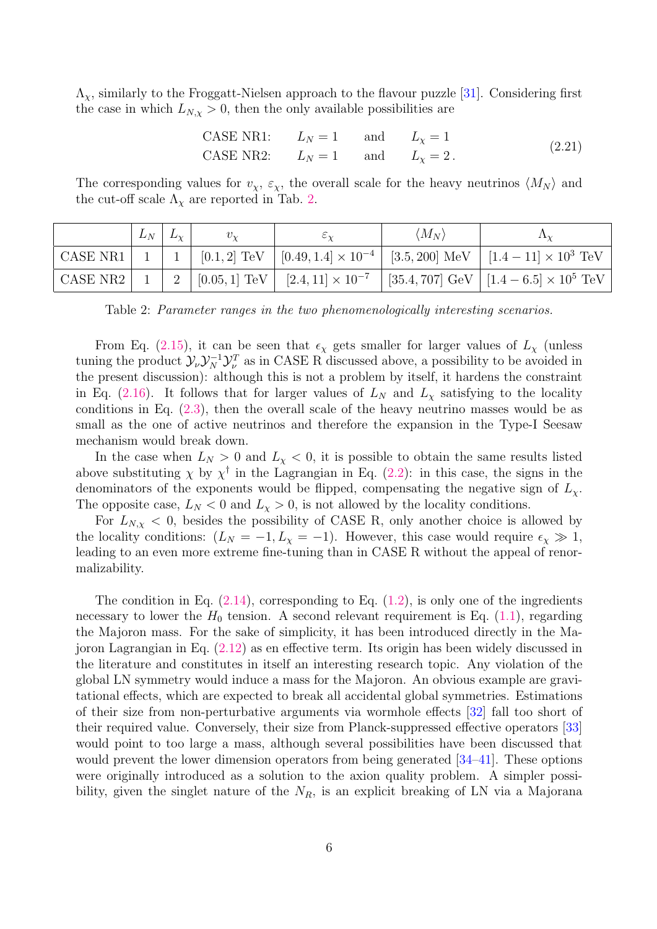$\Lambda_{\chi}$ , similarly to the Froggatt-Nielsen approach to the flavour puzzle [\[31\]](#page-19-9). Considering first the case in which  $L_{N,\chi} > 0$ , then the only available possibilities are

CASE NR1: 
$$
L_N = 1
$$
 and  $L_\chi = 1$   
CASE NR2:  $L_N = 1$  and  $L_\chi = 2$ . (2.21)

The corresponding values for  $v_{\chi}, \varepsilon_{\chi}$ , the overall scale for the heavy neutrinos  $\langle M_N \rangle$  and the cut-off scale  $\Lambda_{\chi}$  are reported in Tab. [2.](#page-6-0)

<span id="page-6-0"></span>

|  | $L_N \mid L_{\chi}$ | $v_{\rm v}$ | $\circ \sim$ | $\langle M_N \rangle$ | $\Lambda_{\rm V}$                                                                                                     |
|--|---------------------|-------------|--------------|-----------------------|-----------------------------------------------------------------------------------------------------------------------|
|  |                     |             |              |                       | CASE NR1   1   1   $[0.1, 2]$ TeV   $[0.49, 1.4] \times 10^{-4}$   $[3.5, 200]$ MeV   $[1.4 - 11] \times 10^3$ TeV    |
|  |                     |             |              |                       | CASE NR2   1   2   $[0.05, 1]$ TeV   $[2.4, 11] \times 10^{-7}$   $[35.4, 707]$ GeV   $[1.4 - 6.5] \times 10^{5}$ TeV |

Table 2: Parameter ranges in the two phenomenologically interesting scenarios.

From Eq. [\(2.15\)](#page-5-2), it can be seen that  $\epsilon_{\chi}$  gets smaller for larger values of  $L_{\chi}$  (unless tuning the product  $\mathcal{Y}_{\nu}\mathcal{Y}_{N}^{-1}\mathcal{Y}_{\nu}^{T}$  as in CASE R discussed above, a possibility to be avoided in the present discussion): although this is not a problem by itself, it hardens the constraint in Eq. [\(2.16\)](#page-5-3). It follows that for larger values of  $L<sub>N</sub>$  and  $L<sub>\chi</sub>$  satisfying to the locality conditions in Eq. [\(2.3\)](#page-3-3), then the overall scale of the heavy neutrino masses would be as small as the one of active neutrinos and therefore the expansion in the Type-I Seesaw mechanism would break down.

In the case when  $L_N > 0$  and  $L_X < 0$ , it is possible to obtain the same results listed above substituting  $\chi$  by  $\chi^{\dagger}$  in the Lagrangian in Eq. [\(2.2\)](#page-3-2): in this case, the signs in the denominators of the exponents would be flipped, compensating the negative sign of  $L_{\chi}$ . The opposite case,  $L_N < 0$  and  $L_\chi > 0$ , is not allowed by the locality conditions.

For  $L_{N,\chi}$  < 0, besides the possibility of CASE R, only another choice is allowed by the locality conditions:  $(L_N = -1, L_\chi = -1)$ . However, this case would require  $\epsilon_\chi \gg 1$ , leading to an even more extreme fine-tuning than in CASE R without the appeal of renormalizability.

The condition in Eq.  $(2.14)$ , corresponding to Eq.  $(1.2)$ , is only one of the ingredients necessary to lower the  $H_0$  tension. A second relevant requirement is Eq. [\(1.1\)](#page-1-0), regarding the Majoron mass. For the sake of simplicity, it has been introduced directly in the Majoron Lagrangian in Eq. [\(2.12\)](#page-4-3) as en effective term. Its origin has been widely discussed in the literature and constitutes in itself an interesting research topic. Any violation of the global LN symmetry would induce a mass for the Majoron. An obvious example are gravitational effects, which are expected to break all accidental global symmetries. Estimations of their size from non-perturbative arguments via wormhole effects [\[32\]](#page-19-10) fall too short of their required value. Conversely, their size from Planck-suppressed effective operators [\[33\]](#page-19-11) would point to too large a mass, although several possibilities have been discussed that would prevent the lower dimension operators from being generated [\[34–](#page-19-12)[41\]](#page-20-0). These options were originally introduced as a solution to the axion quality problem. A simpler possibility, given the singlet nature of the  $N_R$ , is an explicit breaking of LN via a Majorana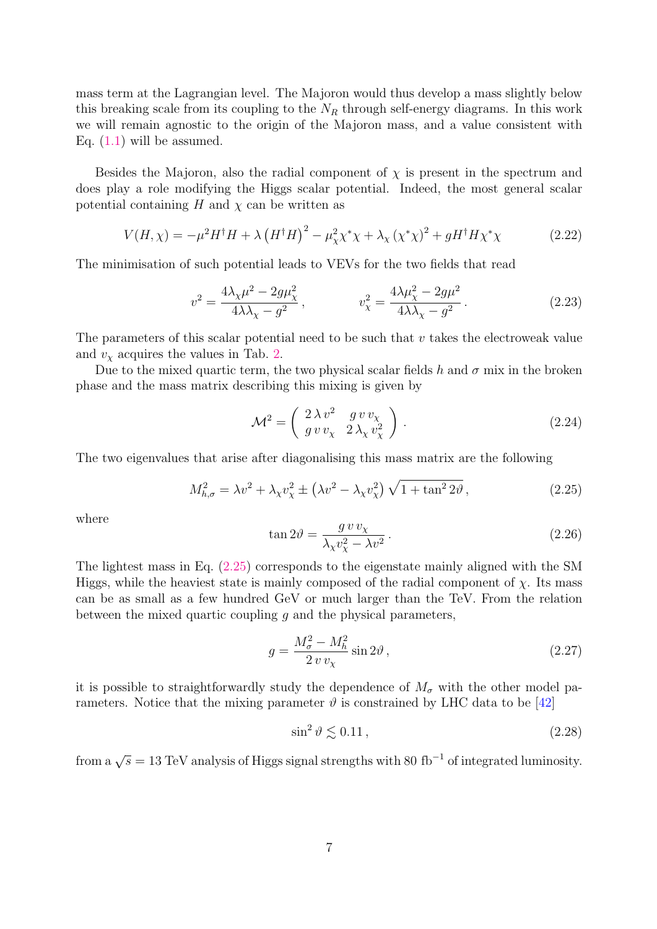mass term at the Lagrangian level. The Majoron would thus develop a mass slightly below this breaking scale from its coupling to the  $N_R$  through self-energy diagrams. In this work we will remain agnostic to the origin of the Majoron mass, and a value consistent with Eq.  $(1.1)$  will be assumed.

Besides the Majoron, also the radial component of  $\chi$  is present in the spectrum and does play a role modifying the Higgs scalar potential. Indeed, the most general scalar potential containing H and  $\chi$  can be written as

$$
V(H, \chi) = -\mu^2 H^{\dagger} H + \lambda (H^{\dagger} H)^2 - \mu_{\chi}^2 \chi^* \chi + \lambda_{\chi} (\chi^* \chi)^2 + g H^{\dagger} H \chi^* \chi \tag{2.22}
$$

The minimisation of such potential leads to VEVs for the two fields that read

$$
v^{2} = \frac{4\lambda_{\chi}\mu^{2} - 2g\mu_{\chi}^{2}}{4\lambda\lambda_{\chi} - g^{2}}, \qquad v_{\chi}^{2} = \frac{4\lambda\mu_{\chi}^{2} - 2g\mu^{2}}{4\lambda\lambda_{\chi} - g^{2}}.
$$
 (2.23)

The parameters of this scalar potential need to be such that  $v$  takes the electroweak value and  $v<sub>x</sub>$  acquires the values in Tab. [2.](#page-6-0)

Due to the mixed quartic term, the two physical scalar fields h and  $\sigma$  mix in the broken phase and the mass matrix describing this mixing is given by

$$
\mathcal{M}^2 = \left(\begin{array}{cc} 2\,\lambda\,v^2 & g\,v\,v_{\chi} \\ g\,v\,v_{\chi} & 2\,\lambda_{\chi}\,v_{\chi}^2 \end{array}\right) . \tag{2.24}
$$

The two eigenvalues that arise after diagonalising this mass matrix are the following

<span id="page-7-0"></span>
$$
M_{h,\sigma}^2 = \lambda v^2 + \lambda_\chi v_\chi^2 \pm \left(\lambda v^2 - \lambda_\chi v_\chi^2\right) \sqrt{1 + \tan^2 2\vartheta},\tag{2.25}
$$

where

$$
\tan 2\theta = \frac{g \, v \, v_{\chi}}{\lambda_{\chi} v_{\chi}^{2} - \lambda v^{2}} \,. \tag{2.26}
$$

The lightest mass in Eq. [\(2.25\)](#page-7-0) corresponds to the eigenstate mainly aligned with the SM Higgs, while the heaviest state is mainly composed of the radial component of  $\chi$ . Its mass can be as small as a few hundred GeV or much larger than the TeV. From the relation between the mixed quartic coupling  $q$  and the physical parameters,

$$
g = \frac{M_{\sigma}^2 - M_h^2}{2 v v_{\chi}} \sin 2\vartheta, \qquad (2.27)
$$

it is possible to straightforwardly study the dependence of  $M_{\sigma}$  with the other model parameters. Notice that the mixing parameter  $\vartheta$  is constrained by LHC data to be [\[42\]](#page-20-1)

<span id="page-7-1"></span>
$$
\sin^2 \vartheta \lesssim 0.11\,,\tag{2.28}
$$

from a  $\sqrt{s} = 13 \text{ TeV}$  analysis of Higgs signal strengths with 80 fb<sup>-1</sup> of integrated luminosity.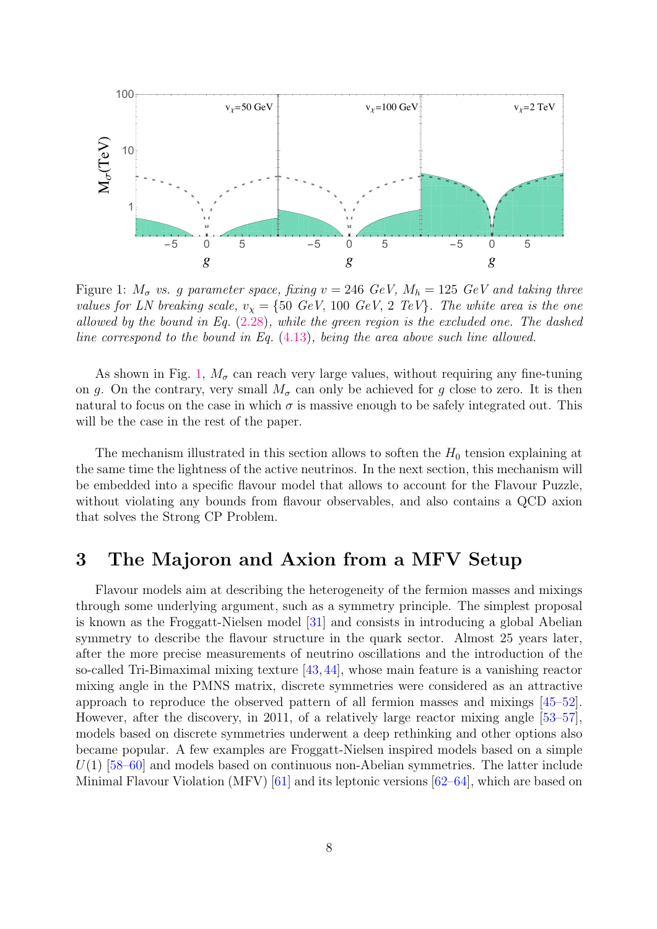<span id="page-8-1"></span>

Figure 1:  $M_{\sigma}$  vs. g parameter space, fixing  $v = 246 \text{ GeV}$ ,  $M_h = 125 \text{ GeV}$  and taking three values for LN breaking scale,  $v_x = \{50 \text{ GeV}, 100 \text{ GeV}, 2 \text{ TeV}\}\.$  The white area is the one allowed by the bound in Eq. [\(2.28\)](#page-7-1), while the green region is the excluded one. The dashed line correspond to the bound in Eq. [\(4.13\)](#page-15-0), being the area above such line allowed.

As shown in Fig. [1,](#page-8-1)  $M_{\sigma}$  can reach very large values, without requiring any fine-tuning on g. On the contrary, very small  $M_{\sigma}$  can only be achieved for g close to zero. It is then natural to focus on the case in which  $\sigma$  is massive enough to be safely integrated out. This will be the case in the rest of the paper.

The mechanism illustrated in this section allows to soften the  $H_0$  tension explaining at the same time the lightness of the active neutrinos. In the next section, this mechanism will be embedded into a specific flavour model that allows to account for the Flavour Puzzle, without violating any bounds from flavour observables, and also contains a QCD axion that solves the Strong CP Problem.

## <span id="page-8-0"></span>3 The Majoron and Axion from a MFV Setup

Flavour models aim at describing the heterogeneity of the fermion masses and mixings through some underlying argument, such as a symmetry principle. The simplest proposal is known as the Froggatt-Nielsen model [\[31\]](#page-19-9) and consists in introducing a global Abelian symmetry to describe the flavour structure in the quark sector. Almost 25 years later, after the more precise measurements of neutrino oscillations and the introduction of the so-called Tri-Bimaximal mixing texture [\[43,](#page-20-2) [44\]](#page-20-3), whose main feature is a vanishing reactor mixing angle in the PMNS matrix, discrete symmetries were considered as an attractive approach to reproduce the observed pattern of all fermion masses and mixings [\[45–](#page-20-4)[52\]](#page-20-5). However, after the discovery, in 2011, of a relatively large reactor mixing angle [\[53–](#page-20-6)[57\]](#page-20-7), models based on discrete symmetries underwent a deep rethinking and other options also became popular. A few examples are Froggatt-Nielsen inspired models based on a simple  $U(1)$  [\[58](#page-20-8)[–60\]](#page-21-0) and models based on continuous non-Abelian symmetries. The latter include Minimal Flavour Violation (MFV) [\[61\]](#page-21-1) and its leptonic versions [\[62–](#page-21-2)[64\]](#page-21-3), which are based on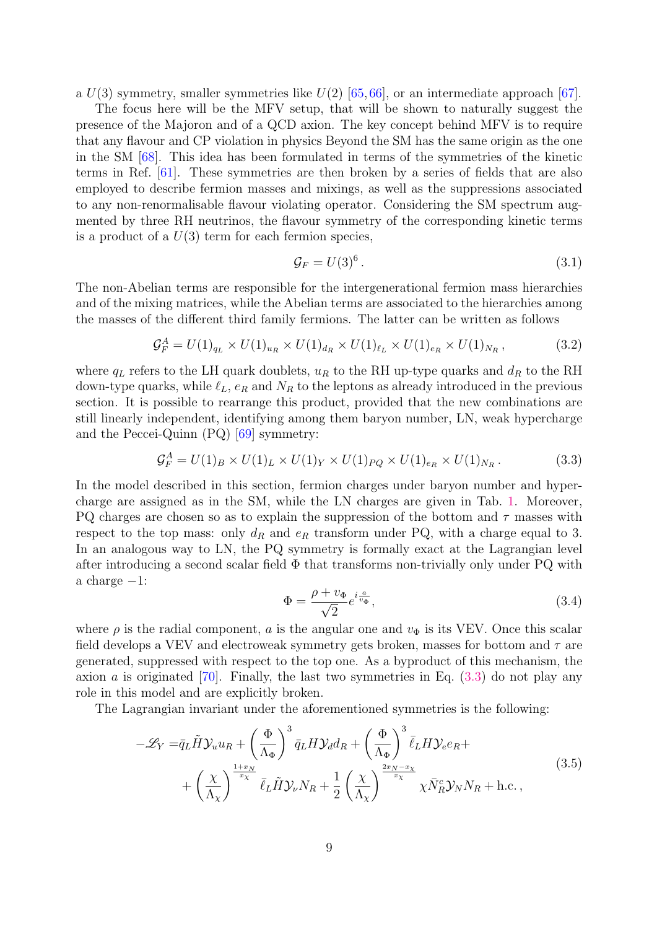a  $U(3)$  symmetry, smaller symmetries like  $U(2)$  [\[65,](#page-21-4) [66\]](#page-21-5), or an intermediate approach [\[67\]](#page-21-6).

The focus here will be the MFV setup, that will be shown to naturally suggest the presence of the Majoron and of a QCD axion. The key concept behind MFV is to require that any flavour and CP violation in physics Beyond the SM has the same origin as the one in the SM [\[68\]](#page-21-7). This idea has been formulated in terms of the symmetries of the kinetic terms in Ref. [\[61\]](#page-21-1). These symmetries are then broken by a series of fields that are also employed to describe fermion masses and mixings, as well as the suppressions associated to any non-renormalisable flavour violating operator. Considering the SM spectrum augmented by three RH neutrinos, the flavour symmetry of the corresponding kinetic terms is a product of a  $U(3)$  term for each fermion species,

$$
\mathcal{G}_F = U(3)^6. \tag{3.1}
$$

The non-Abelian terms are responsible for the intergenerational fermion mass hierarchies and of the mixing matrices, while the Abelian terms are associated to the hierarchies among the masses of the different third family fermions. The latter can be written as follows

$$
\mathcal{G}_F^A = U(1)_{q_L} \times U(1)_{u_R} \times U(1)_{d_R} \times U(1)_{\ell_L} \times U(1)_{e_R} \times U(1)_{N_R},\tag{3.2}
$$

where  $q_L$  refers to the LH quark doublets,  $u_R$  to the RH up-type quarks and  $d_R$  to the RH down-type quarks, while  $\ell_L$ ,  $e_R$  and  $N_R$  to the leptons as already introduced in the previous section. It is possible to rearrange this product, provided that the new combinations are still linearly independent, identifying among them baryon number, LN, weak hypercharge and the Peccei-Quinn (PQ) [\[69\]](#page-21-8) symmetry:

<span id="page-9-0"></span>
$$
\mathcal{G}_F^A = U(1)_B \times U(1)_L \times U(1)_Y \times U(1)_{PQ} \times U(1)_{e_R} \times U(1)_{N_R}.
$$
\n
$$
(3.3)
$$

In the model described in this section, fermion charges under baryon number and hypercharge are assigned as in the SM, while the LN charges are given in Tab. [1.](#page-3-0) Moreover, PQ charges are chosen so as to explain the suppression of the bottom and  $\tau$  masses with respect to the top mass: only  $d_R$  and  $e_R$  transform under PQ, with a charge equal to 3. In an analogous way to LN, the PQ symmetry is formally exact at the Lagrangian level after introducing a second scalar field  $\Phi$  that transforms non-trivially only under PQ with a charge  $-1$ :

$$
\Phi = \frac{\rho + v_{\Phi}}{\sqrt{2}} e^{i \frac{a}{v_{\Phi}}},\tag{3.4}
$$

where  $\rho$  is the radial component, a is the angular one and  $v_{\Phi}$  is its VEV. Once this scalar field develops a VEV and electroweak symmetry gets broken, masses for bottom and  $\tau$  are generated, suppressed with respect to the top one. As a byproduct of this mechanism, the axion a is originated  $[70]$ . Finally, the last two symmetries in Eq.  $(3.3)$  do not play any role in this model and are explicitly broken.

The Lagrangian invariant under the aforementioned symmetries is the following:

$$
-\mathcal{L}_{Y} = \bar{q}_{L}\tilde{H}\mathcal{Y}_{u}u_{R} + \left(\frac{\Phi}{\Lambda_{\Phi}}\right)^{3}\bar{q}_{L}H\mathcal{Y}_{d}d_{R} + \left(\frac{\Phi}{\Lambda_{\Phi}}\right)^{3}\bar{\ell}_{L}H\mathcal{Y}_{e}e_{R} + + \left(\frac{\chi}{\Lambda_{\chi}}\right)^{\frac{1+x_{N}}{x_{\chi}}}\bar{\ell}_{L}\tilde{H}\mathcal{Y}_{\nu}N_{R} + \frac{1}{2}\left(\frac{\chi}{\Lambda_{\chi}}\right)^{\frac{2x_{N}-x_{\chi}}{x_{\chi}}} \chi\bar{N}_{R}^{c}\mathcal{Y}_{N}N_{R} + \text{h.c.},
$$
\n(3.5)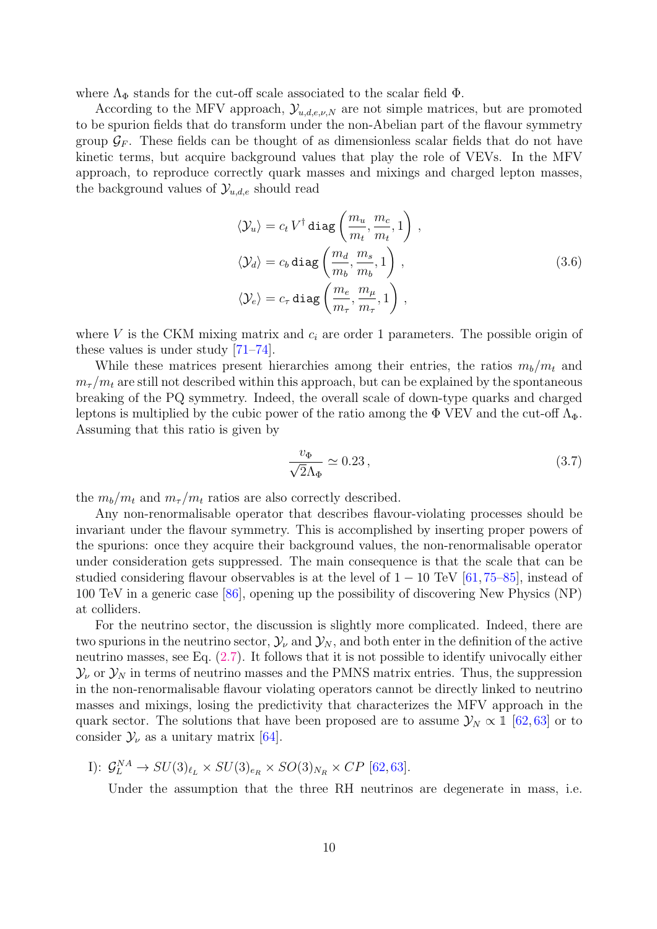where  $\Lambda_{\Phi}$  stands for the cut-off scale associated to the scalar field  $\Phi$ .

According to the MFV approach,  $\mathcal{Y}_{u,d,e,\nu,N}$  are not simple matrices, but are promoted to be spurion fields that do transform under the non-Abelian part of the flavour symmetry group  $\mathcal{G}_F$ . These fields can be thought of as dimensionless scalar fields that do not have kinetic terms, but acquire background values that play the role of VEVs. In the MFV approach, to reproduce correctly quark masses and mixings and charged lepton masses, the background values of  $\mathcal{Y}_{u,d,e}$  should read

$$
\langle \mathcal{Y}_u \rangle = c_t V^{\dagger} \operatorname{diag} \left( \frac{m_u}{m_t}, \frac{m_c}{m_t}, 1 \right),
$$
  

$$
\langle \mathcal{Y}_d \rangle = c_b \operatorname{diag} \left( \frac{m_d}{m_b}, \frac{m_s}{m_b}, 1 \right),
$$
  

$$
\langle \mathcal{Y}_e \rangle = c_\tau \operatorname{diag} \left( \frac{m_e}{m_\tau}, \frac{m_\mu}{m_\tau}, 1 \right),
$$
 (3.6)

where V is the CKM mixing matrix and  $c_i$  are order 1 parameters. The possible origin of these values is under study [\[71–](#page-21-10)[74\]](#page-21-11).

While these matrices present hierarchies among their entries, the ratios  $m_b/m_t$  and  $m_{\tau}/m_t$  are still not described within this approach, but can be explained by the spontaneous breaking of the PQ symmetry. Indeed, the overall scale of down-type quarks and charged leptons is multiplied by the cubic power of the ratio among the  $\Phi$  VEV and the cut-off  $\Lambda_{\Phi}$ . Assuming that this ratio is given by

$$
\frac{v_{\Phi}}{\sqrt{2}\Lambda_{\Phi}} \simeq 0.23\,,\tag{3.7}
$$

the  $m_b/m_t$  and  $m_{\tau}/m_t$  ratios are also correctly described.

Any non-renormalisable operator that describes flavour-violating processes should be invariant under the flavour symmetry. This is accomplished by inserting proper powers of the spurions: once they acquire their background values, the non-renormalisable operator under consideration gets suppressed. The main consequence is that the scale that can be studied considering flavour observables is at the level of  $1 - 10$  TeV  $[61, 75-85]$  $[61, 75-85]$  $[61, 75-85]$ , instead of 100 TeV in a generic case [\[86\]](#page-22-1), opening up the possibility of discovering New Physics (NP) at colliders.

For the neutrino sector, the discussion is slightly more complicated. Indeed, there are two spurions in the neutrino sector,  $\mathcal{Y}_{\nu}$  and  $\mathcal{Y}_{N}$ , and both enter in the definition of the active neutrino masses, see Eq. [\(2.7\)](#page-4-0). It follows that it is not possible to identify univocally either  $\mathcal{Y}_{\nu}$  or  $\mathcal{Y}_{N}$  in terms of neutrino masses and the PMNS matrix entries. Thus, the suppression in the non-renormalisable flavour violating operators cannot be directly linked to neutrino masses and mixings, losing the predictivity that characterizes the MFV approach in the quark sector. The solutions that have been proposed are to assume  $\mathcal{Y}_N \propto \mathbb{1}$  [\[62,](#page-21-2)[63\]](#page-21-13) or to consider  $\mathcal{Y}_{\nu}$  as a unitary matrix [\[64\]](#page-21-3).

I):  $\mathcal{G}_L^{NA} \to SU(3)_{\ell_L} \times SU(3)_{e_R} \times SO(3)_{N_R} \times CP$  [\[62,](#page-21-2)[63\]](#page-21-13).

Under the assumption that the three RH neutrinos are degenerate in mass, i.e.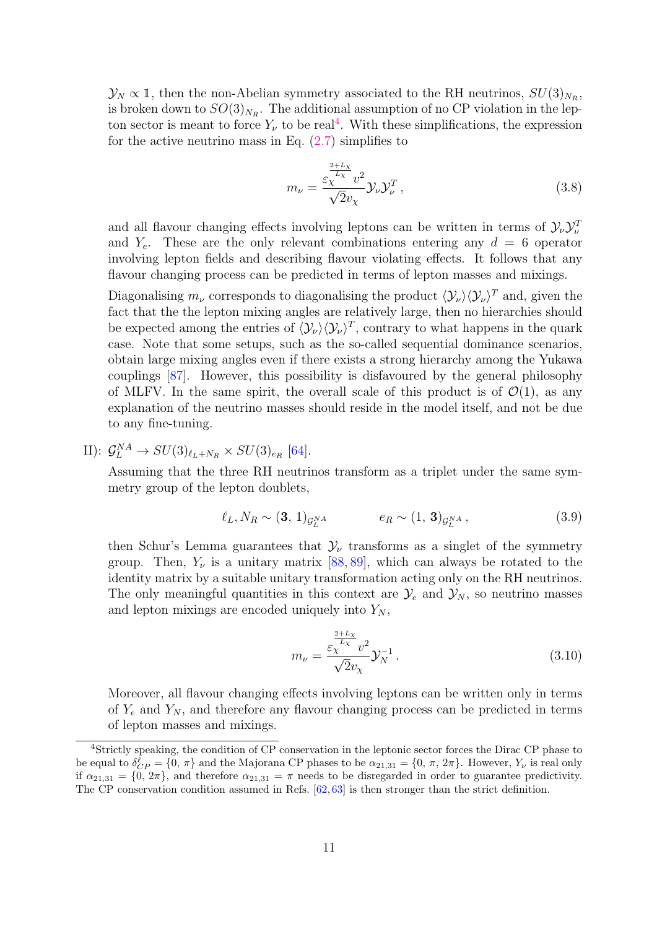$\mathcal{Y}_N \propto \mathbb{1}$ , then the non-Abelian symmetry associated to the RH neutrinos,  $SU(3)_{N_R}$ , is broken down to  $SO(3)_{N_R}$ . The additional assumption of no CP violation in the lepton sector is meant to force  $Y_{\nu}$  to be real<sup>[4](#page-11-0)</sup>. With these simplifications, the expression for the active neutrino mass in Eq.  $(2.7)$  simplifies to

$$
m_{\nu} = \frac{\varepsilon_{\chi}^{\frac{2+L_{\chi}}{L_{\chi}}}v^2}{\sqrt{2}v_{\chi}} \mathcal{Y}_{\nu} \mathcal{Y}_{\nu}^T,
$$
\n(3.8)

and all flavour changing effects involving leptons can be written in terms of  $\mathcal{Y}_{\nu}\mathcal{Y}_{\nu}^{T}$ and  $Y_e$ . These are the only relevant combinations entering any  $d = 6$  operator involving lepton fields and describing flavour violating effects. It follows that any flavour changing process can be predicted in terms of lepton masses and mixings.

Diagonalising  $m_{\nu}$  corresponds to diagonalising the product  $\langle V_{\nu} \rangle \langle V_{\nu} \rangle^{T}$  and, given the fact that the the lepton mixing angles are relatively large, then no hierarchies should be expected among the entries of  $\langle \mathcal{Y}_{\nu} \rangle \langle \mathcal{Y}_{\nu} \rangle^{T}$ , contrary to what happens in the quark case. Note that some setups, such as the so-called sequential dominance scenarios, obtain large mixing angles even if there exists a strong hierarchy among the Yukawa couplings [\[87\]](#page-22-2). However, this possibility is disfavoured by the general philosophy of MLFV. In the same spirit, the overall scale of this product is of  $\mathcal{O}(1)$ , as any explanation of the neutrino masses should reside in the model itself, and not be due to any fine-tuning.

II):  $\mathcal{G}_L^{NA} \to SU(3)_{\ell_L+N_R} \times SU(3)_{e_R}$  [\[64\]](#page-21-3).

Assuming that the three RH neutrinos transform as a triplet under the same symmetry group of the lepton doublets,

$$
\ell_L, N_R \sim (\mathbf{3}, 1)_{\mathcal{G}_L^{NA}} \qquad e_R \sim (1, \mathbf{3})_{\mathcal{G}_L^{NA}}, \tag{3.9}
$$

then Schur's Lemma guarantees that  $\mathcal{Y}_{\nu}$  transforms as a singlet of the symmetry group. Then,  $Y_{\nu}$  is a unitary matrix [\[88,](#page-22-3) [89\]](#page-22-4), which can always be rotated to the identity matrix by a suitable unitary transformation acting only on the RH neutrinos. The only meaningful quantities in this context are  $\mathcal{Y}_e$  and  $\mathcal{Y}_N$ , so neutrino masses and lepton mixings are encoded uniquely into  $Y_N$ ,

$$
m_{\nu} = \frac{\varepsilon_{\chi}^{\frac{2+L_{\chi}}{L_{\chi}}}v^2}{\sqrt{2}v_{\chi}} \mathcal{Y}_N^{-1}.
$$
\n(3.10)

Moreover, all flavour changing effects involving leptons can be written only in terms of  $Y_e$  and  $Y_N$ , and therefore any flavour changing process can be predicted in terms of lepton masses and mixings.

<span id="page-11-0"></span><sup>4</sup>Strictly speaking, the condition of CP conservation in the leptonic sector forces the Dirac CP phase to be equal to  $\delta_{CP}^{\ell} = \{0, \pi\}$  and the Majorana CP phases to be  $\alpha_{21,31} = \{0, \pi, 2\pi\}$ . However,  $Y_{\nu}$  is real only if  $\alpha_{21,31} = \{0, 2\pi\}$ , and therefore  $\alpha_{21,31} = \pi$  needs to be disregarded in order to guarantee predictivity. The CP conservation condition assumed in Refs. [\[62,](#page-21-2) [63\]](#page-21-13) is then stronger than the strict definition.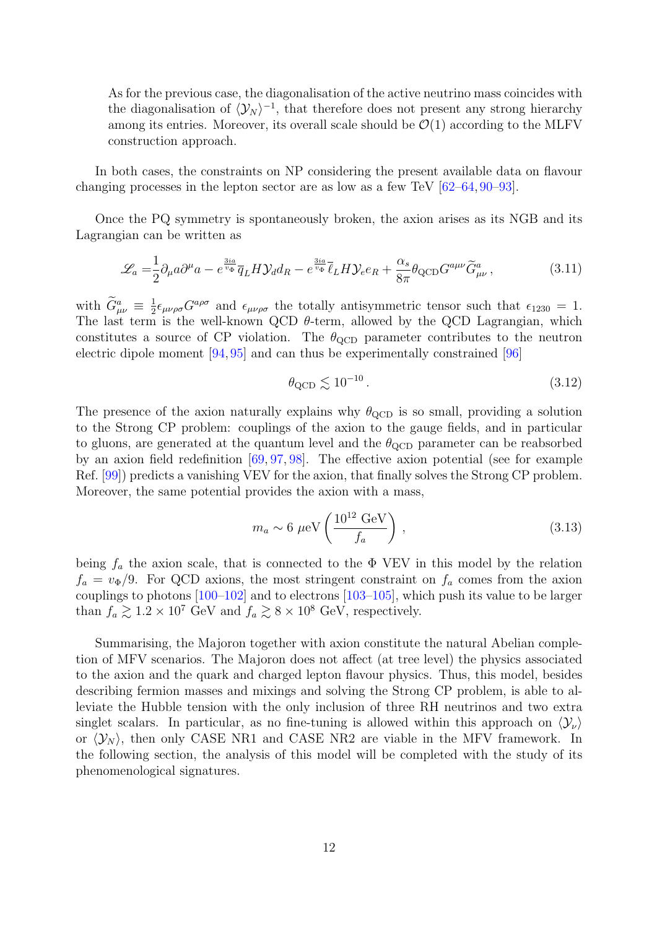As for the previous case, the diagonalisation of the active neutrino mass coincides with the diagonalisation of  $\langle \mathcal{Y}_N \rangle^{-1}$ , that therefore does not present any strong hierarchy among its entries. Moreover, its overall scale should be  $\mathcal{O}(1)$  according to the MLFV construction approach.

In both cases, the constraints on NP considering the present available data on flavour changing processes in the lepton sector are as low as a few TeV [\[62](#page-21-2)[–64,](#page-21-3) [90](#page-22-5)[–93\]](#page-22-6).

Once the PQ symmetry is spontaneously broken, the axion arises as its NGB and its Lagrangian can be written as

$$
\mathcal{L}_a = \frac{1}{2} \partial_\mu a \partial^\mu a - e^{\frac{3ia}{v_\Phi}} \overline{q}_L H \mathcal{Y}_d d_R - e^{\frac{3ia}{v_\Phi}} \overline{\ell}_L H \mathcal{Y}_e e_R + \frac{\alpha_s}{8\pi} \theta_{\text{QCD}} G^{a\mu\nu} \widetilde{G}^a_{\mu\nu},\tag{3.11}
$$

with  $\widetilde{G}^a_{\mu\nu} \equiv \frac{1}{2}$  $\frac{1}{2} \epsilon_{\mu\nu\rho\sigma} G^{a\rho\sigma}$  and  $\epsilon_{\mu\nu\rho\sigma}$  the totally antisymmetric tensor such that  $\epsilon_{1230} = 1$ . The last term is the well-known QCD  $\theta$ -term, allowed by the QCD Lagrangian, which constitutes a source of CP violation. The  $\theta_{\rm QCD}$  parameter contributes to the neutron electric dipole moment [\[94,](#page-22-7) [95\]](#page-22-8) and can thus be experimentally constrained [\[96\]](#page-22-9)

$$
\theta_{\rm QCD} \lesssim 10^{-10} \,. \tag{3.12}
$$

The presence of the axion naturally explains why  $\theta_{\rm QCD}$  is so small, providing a solution to the Strong CP problem: couplings of the axion to the gauge fields, and in particular to gluons, are generated at the quantum level and the  $\theta_{\rm QCD}$  parameter can be reabsorbed by an axion field redefinition [\[69,](#page-21-8) [97,](#page-22-10) [98\]](#page-22-11). The effective axion potential (see for example Ref. [\[99\]](#page-22-12)) predicts a vanishing VEV for the axion, that finally solves the Strong CP problem. Moreover, the same potential provides the axion with a mass,

$$
m_a \sim 6 \ \mu\text{eV} \left(\frac{10^{12} \text{ GeV}}{f_a}\right) \,,\tag{3.13}
$$

being  $f_a$  the axion scale, that is connected to the  $\Phi$  VEV in this model by the relation  $f_a = v_{\Phi}/9$ . For QCD axions, the most stringent constraint on  $f_a$  comes from the axion couplings to photons [\[100](#page-22-13)[–102\]](#page-22-14) and to electrons [\[103–](#page-23-0)[105\]](#page-23-1), which push its value to be larger than  $f_a \gtrsim 1.2 \times 10^7$  GeV and  $f_a \gtrsim 8 \times 10^8$  GeV, respectively.

Summarising, the Majoron together with axion constitute the natural Abelian completion of MFV scenarios. The Majoron does not affect (at tree level) the physics associated to the axion and the quark and charged lepton flavour physics. Thus, this model, besides describing fermion masses and mixings and solving the Strong CP problem, is able to alleviate the Hubble tension with the only inclusion of three RH neutrinos and two extra singlet scalars. In particular, as no fine-tuning is allowed within this approach on  $\langle \mathcal{Y}_{\nu} \rangle$ or  $\langle \mathcal{Y}_N \rangle$ , then only CASE NR1 and CASE NR2 are viable in the MFV framework. In the following section, the analysis of this model will be completed with the study of its phenomenological signatures.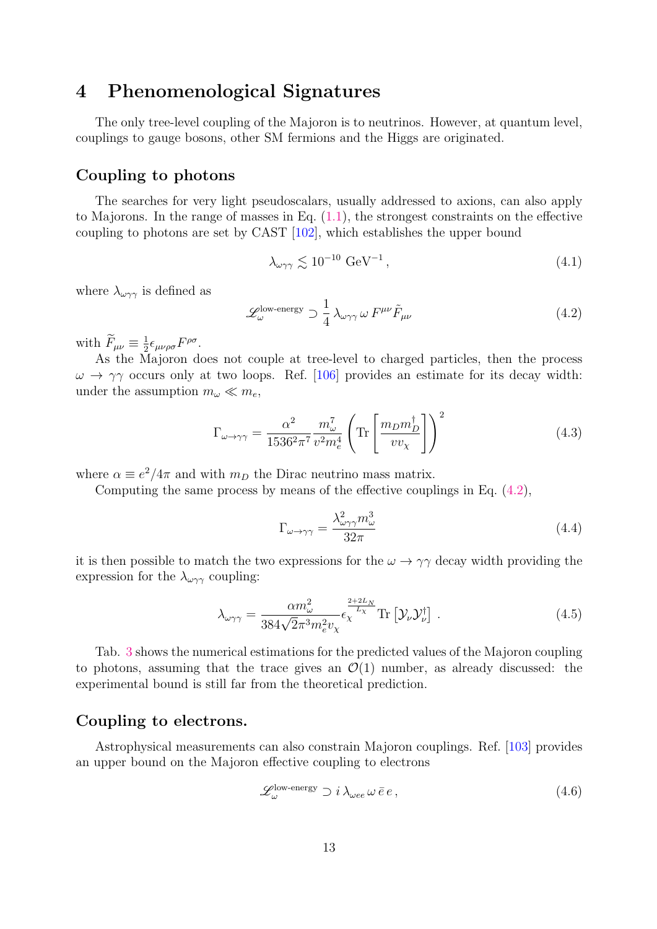## <span id="page-13-0"></span>4 Phenomenological Signatures

The only tree-level coupling of the Majoron is to neutrinos. However, at quantum level, couplings to gauge bosons, other SM fermions and the Higgs are originated.

## Coupling to photons

The searches for very light pseudoscalars, usually addressed to axions, can also apply to Majorons. In the range of masses in Eq.  $(1.1)$ , the strongest constraints on the effective coupling to photons are set by CAST [\[102\]](#page-22-14), which establishes the upper bound

$$
\lambda_{\omega\gamma\gamma} \lesssim 10^{-10} \text{ GeV}^{-1},\tag{4.1}
$$

where  $\lambda_{\omega\gamma\gamma}$  is defined as

<span id="page-13-1"></span>
$$
\mathcal{L}^{\text{low-energy}}_{\omega} \supset \frac{1}{4} \lambda_{\omega\gamma\gamma} \omega F^{\mu\nu} \tilde{F}_{\mu\nu}
$$
\n(4.2)

with  $\widetilde{F}_{\mu\nu} \equiv \frac{1}{2}$  $\frac{1}{2}\epsilon_{\mu\nu\rho\sigma}F^{\rho\sigma}$ .

As the Majoron does not couple at tree-level to charged particles, then the process  $\omega \rightarrow \gamma \gamma$  occurs only at two loops. Ref. [\[106\]](#page-23-2) provides an estimate for its decay width: under the assumption  $m_{\omega} \ll m_e$ ,

$$
\Gamma_{\omega \to \gamma\gamma} = \frac{\alpha^2}{1536^2 \pi^7} \frac{m_{\omega}^7}{v^2 m_e^4} \left( \text{Tr} \left[ \frac{m_D m_D^{\dagger}}{v v_{\chi}} \right] \right)^2 \tag{4.3}
$$

where  $\alpha \equiv e^2/4\pi$  and with  $m_D$  the Dirac neutrino mass matrix.

Computing the same process by means of the effective couplings in Eq. [\(4.2\)](#page-13-1),

$$
\Gamma_{\omega \to \gamma \gamma} = \frac{\lambda_{\omega \gamma \gamma}^2 m_{\omega}^3}{32\pi} \tag{4.4}
$$

it is then possible to match the two expressions for the  $\omega \rightarrow \gamma \gamma$  decay width providing the expression for the  $\lambda_{\omega\gamma\gamma}$  coupling:

$$
\lambda_{\omega\gamma\gamma} = \frac{\alpha m_{\omega}^2}{384\sqrt{2}\pi^3 m_e^2 v_\chi} \epsilon_{\chi}^{\frac{2+2L_N}{L_\chi}} \text{Tr} \left[ \mathcal{Y}_{\nu} \mathcal{Y}_{\nu}^{\dagger} \right] . \tag{4.5}
$$

Tab. [3](#page-14-0) shows the numerical estimations for the predicted values of the Majoron coupling to photons, assuming that the trace gives an  $\mathcal{O}(1)$  number, as already discussed: the experimental bound is still far from the theoretical prediction.

## Coupling to electrons.

Astrophysical measurements can also constrain Majoron couplings. Ref. [\[103\]](#page-23-0) provides an upper bound on the Majoron effective coupling to electrons

$$
\mathcal{L}^{\text{low-energy}}_{\omega} \supset i \lambda_{\omega ee} \,\omega \,\bar{e} \,e \,, \tag{4.6}
$$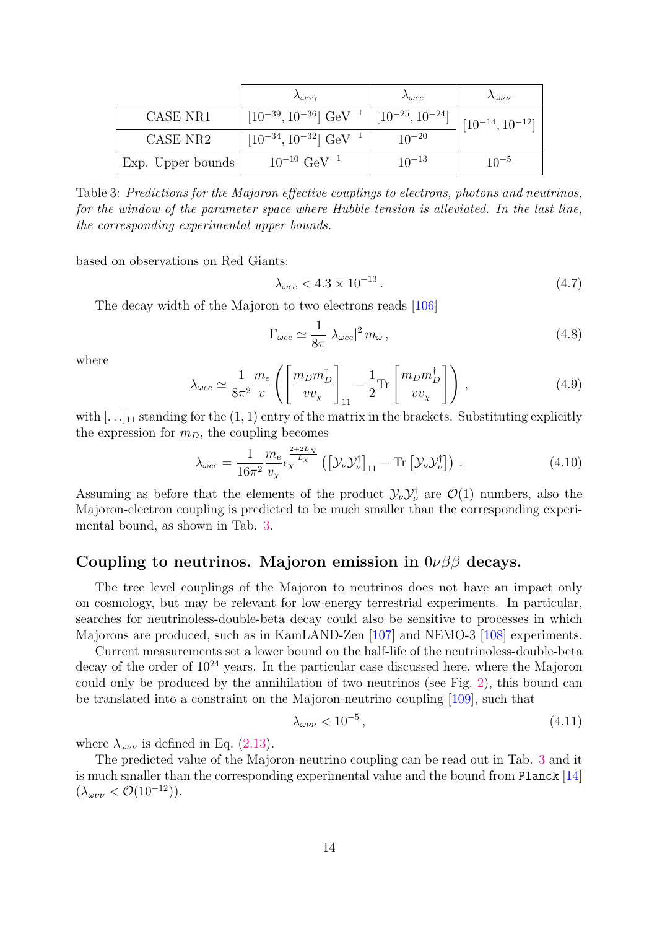<span id="page-14-0"></span>

|                   | $\Lambda_{\omega\gamma\gamma}$                                    | $\Lambda_{\omega ee}$ | Λωνν                   |
|-------------------|-------------------------------------------------------------------|-----------------------|------------------------|
| CASE NR1          | $[10^{-39}, 10^{-36}]$ GeV <sup>-1</sup>   $[10^{-25}, 10^{-24}]$ |                       | $[10^{-14}, 10^{-12}]$ |
| CASE NR2          | $[10^{-34}, 10^{-32}]$ GeV <sup>-1</sup>                          | $10^{-20}$            |                        |
| Exp. Upper bounds | $10^{-10}$ GeV <sup>-1</sup>                                      | $10^{-13}$            | $10^{-5}$              |

Table 3: Predictions for the Majoron effective couplings to electrons, photons and neutrinos, for the window of the parameter space where Hubble tension is alleviated. In the last line, the corresponding experimental upper bounds.

based on observations on Red Giants:

$$
\lambda_{\omega ee} < 4.3 \times 10^{-13} \,. \tag{4.7}
$$

The decay width of the Majoron to two electrons reads [\[106\]](#page-23-2)

$$
\Gamma_{\omega ee} \simeq \frac{1}{8\pi} |\lambda_{\omega ee}|^2 m_{\omega},\tag{4.8}
$$

where

$$
\lambda_{\omega ee} \simeq \frac{1}{8\pi^2} \frac{m_e}{v} \left( \left[ \frac{m_D m_D^{\dagger}}{v v_{\chi}} \right]_{11} - \frac{1}{2} \text{Tr} \left[ \frac{m_D m_D^{\dagger}}{v v_{\chi}} \right] \right) , \qquad (4.9)
$$

with  $[\ldots]_{11}$  standing for the  $(1,1)$  entry of the matrix in the brackets. Substituting explicitly the expression for  $m_D$ , the coupling becomes

$$
\lambda_{\omega ee} = \frac{1}{16\pi^2} \frac{m_e}{v_\chi} \frac{e^{\frac{2+2L_N}{L_\chi}}}{\left(\left[\mathcal{Y}_\nu \mathcal{Y}_\nu^\dagger\right]_{11} - \text{Tr}\left[\mathcal{Y}_\nu \mathcal{Y}_\nu^\dagger\right]\right)}\,. \tag{4.10}
$$

Assuming as before that the elements of the product  $\mathcal{Y}_{\nu} \mathcal{Y}_{\nu}^{\dagger}$  are  $\mathcal{O}(1)$  numbers, also the Majoron-electron coupling is predicted to be much smaller than the corresponding experimental bound, as shown in Tab. [3.](#page-14-0)

#### Coupling to neutrinos. Majoron emission in  $0\nu\beta\beta$  decays.

The tree level couplings of the Majoron to neutrinos does not have an impact only on cosmology, but may be relevant for low-energy terrestrial experiments. In particular, searches for neutrinoless-double-beta decay could also be sensitive to processes in which Majorons are produced, such as in KamLAND-Zen [\[107\]](#page-23-3) and NEMO-3 [\[108\]](#page-23-4) experiments.

Current measurements set a lower bound on the half-life of the neutrinoless-double-beta decay of the order of  $10^{24}$  years. In the particular case discussed here, where the Majoron could only be produced by the annihilation of two neutrinos (see Fig. [2\)](#page-15-1), this bound can be translated into a constraint on the Majoron-neutrino coupling [\[109\]](#page-23-5), such that

$$
\lambda_{\omega\nu\nu} < 10^{-5} \,, \tag{4.11}
$$

where  $\lambda_{\omega \nu \nu}$  is defined in Eq. [\(2.13\)](#page-5-4).

The predicted value of the Majoron-neutrino coupling can be read out in Tab. [3](#page-14-0) and it is much smaller than the corresponding experimental value and the bound from Planck [\[14\]](#page-18-5)  $(\lambda_{\omega \nu \nu} < \mathcal{O}(10^{-12})).$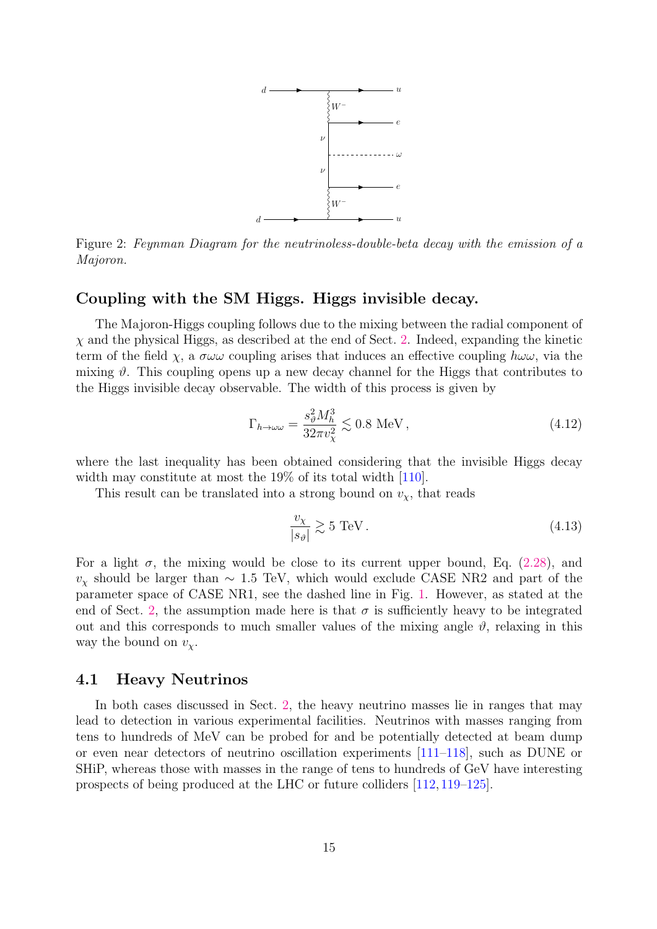

<span id="page-15-1"></span>Figure 2: Feynman Diagram for the neutrinoless-double-beta decay with the emission of a Majoron.

#### Coupling with the SM Higgs. Higgs invisible decay.

The Majoron-Higgs coupling follows due to the mixing between the radial component of  $\chi$  and the physical Higgs, as described at the end of Sect. [2.](#page-2-0) Indeed, expanding the kinetic term of the field  $\chi$ , a  $\sigma \omega \omega$  coupling arises that induces an effective coupling  $h \omega \omega$ , via the mixing  $\vartheta$ . This coupling opens up a new decay channel for the Higgs that contributes to the Higgs invisible decay observable. The width of this process is given by

$$
\Gamma_{h \to \omega\omega} = \frac{s_{\vartheta}^2 M_h^3}{32\pi v_{\chi}^2} \lesssim 0.8 \text{ MeV},\tag{4.12}
$$

where the last inequality has been obtained considering that the invisible Higgs decay width may constitute at most the 19% of its total width [\[110\]](#page-23-6).

This result can be translated into a strong bound on  $v_{\chi}$ , that reads

<span id="page-15-0"></span>
$$
\frac{v_{\chi}}{|s_{\vartheta}|} \gtrsim 5 \text{ TeV}. \tag{4.13}
$$

For a light  $\sigma$ , the mixing would be close to its current upper bound, Eq. [\(2.28\)](#page-7-1), and  $v<sub>x</sub>$  should be larger than ~ 1.5 TeV, which would exclude CASE NR2 and part of the parameter space of CASE NR1, see the dashed line in Fig. [1.](#page-8-1) However, as stated at the end of Sect. [2,](#page-2-0) the assumption made here is that  $\sigma$  is sufficiently heavy to be integrated out and this corresponds to much smaller values of the mixing angle  $\vartheta$ , relaxing in this way the bound on  $v_{\chi}$ .

#### 4.1 Heavy Neutrinos

In both cases discussed in Sect. [2,](#page-2-0) the heavy neutrino masses lie in ranges that may lead to detection in various experimental facilities. Neutrinos with masses ranging from tens to hundreds of MeV can be probed for and be potentially detected at beam dump or even near detectors of neutrino oscillation experiments [\[111–](#page-23-7)[118\]](#page-23-8), such as DUNE or SHiP, whereas those with masses in the range of tens to hundreds of GeV have interesting prospects of being produced at the LHC or future colliders [\[112,](#page-23-9) [119–](#page-23-10)[125\]](#page-24-0).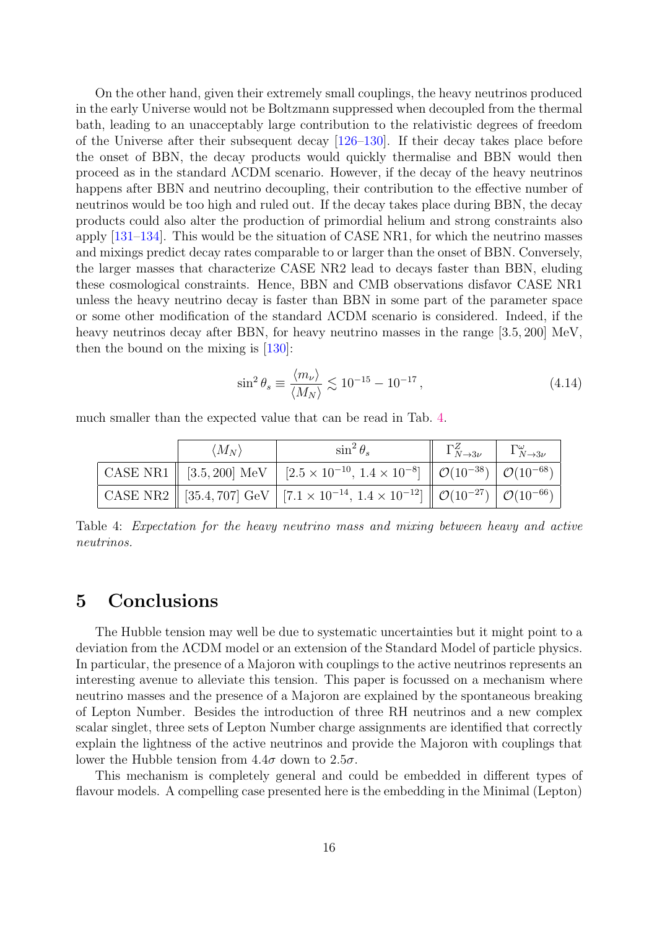On the other hand, given their extremely small couplings, the heavy neutrinos produced in the early Universe would not be Boltzmann suppressed when decoupled from the thermal bath, leading to an unacceptably large contribution to the relativistic degrees of freedom of the Universe after their subsequent decay [\[126–](#page-24-1)[130\]](#page-24-2). If their decay takes place before the onset of BBN, the decay products would quickly thermalise and BBN would then proceed as in the standard ΛCDM scenario. However, if the decay of the heavy neutrinos happens after BBN and neutrino decoupling, their contribution to the effective number of neutrinos would be too high and ruled out. If the decay takes place during BBN, the decay products could also alter the production of primordial helium and strong constraints also apply [\[131](#page-24-3)[–134\]](#page-24-4). This would be the situation of CASE NR1, for which the neutrino masses and mixings predict decay rates comparable to or larger than the onset of BBN. Conversely, the larger masses that characterize CASE NR2 lead to decays faster than BBN, eluding these cosmological constraints. Hence, BBN and CMB observations disfavor CASE NR1 unless the heavy neutrino decay is faster than BBN in some part of the parameter space or some other modification of the standard ΛCDM scenario is considered. Indeed, if the heavy neutrinos decay after BBN, for heavy neutrino masses in the range [3.5, 200] MeV, then the bound on the mixing is [\[130\]](#page-24-2):

$$
\sin^2 \theta_s \equiv \frac{\langle m_\nu \rangle}{\langle M_N \rangle} \lesssim 10^{-15} - 10^{-17},\tag{4.14}
$$

<span id="page-16-1"></span>much smaller than the expected value that can be read in Tab. [4.](#page-16-1)

| $\langle M_N \rangle$ | $\sin^2\theta_s$                                                                                                                                    | $\left\  \begin{array}{cc} \Gamma^Z_{N\to 3\nu} & \Gamma^{\omega}_{N\to 3\nu} \end{array}\right.$ |  |
|-----------------------|-----------------------------------------------------------------------------------------------------------------------------------------------------|---------------------------------------------------------------------------------------------------|--|
|                       | CASE NR1    [3.5, 200] MeV   [2.5 $\times$ 10 <sup>-10</sup> , 1.4 $\times$ 10 <sup>-8</sup> ]    $\mathcal{O}(10^{-38})$   $\mathcal{O}(10^{-68})$ |                                                                                                   |  |
|                       | CASE NR2    [35.4, 707] GeV   [7.1 × 10 <sup>-14</sup> , $1.4 \times 10^{-12}$ ]    $\mathcal{O}(10^{-27})$   $\mathcal{O}(10^{-66})$               |                                                                                                   |  |

Table 4: Expectation for the heavy neutrino mass and mixing between heavy and active neutrinos.

## <span id="page-16-0"></span>5 Conclusions

The Hubble tension may well be due to systematic uncertainties but it might point to a deviation from the ΛCDM model or an extension of the Standard Model of particle physics. In particular, the presence of a Majoron with couplings to the active neutrinos represents an interesting avenue to alleviate this tension. This paper is focussed on a mechanism where neutrino masses and the presence of a Majoron are explained by the spontaneous breaking of Lepton Number. Besides the introduction of three RH neutrinos and a new complex scalar singlet, three sets of Lepton Number charge assignments are identified that correctly explain the lightness of the active neutrinos and provide the Majoron with couplings that lower the Hubble tension from  $4.4\sigma$  down to  $2.5\sigma$ .

This mechanism is completely general and could be embedded in different types of flavour models. A compelling case presented here is the embedding in the Minimal (Lepton)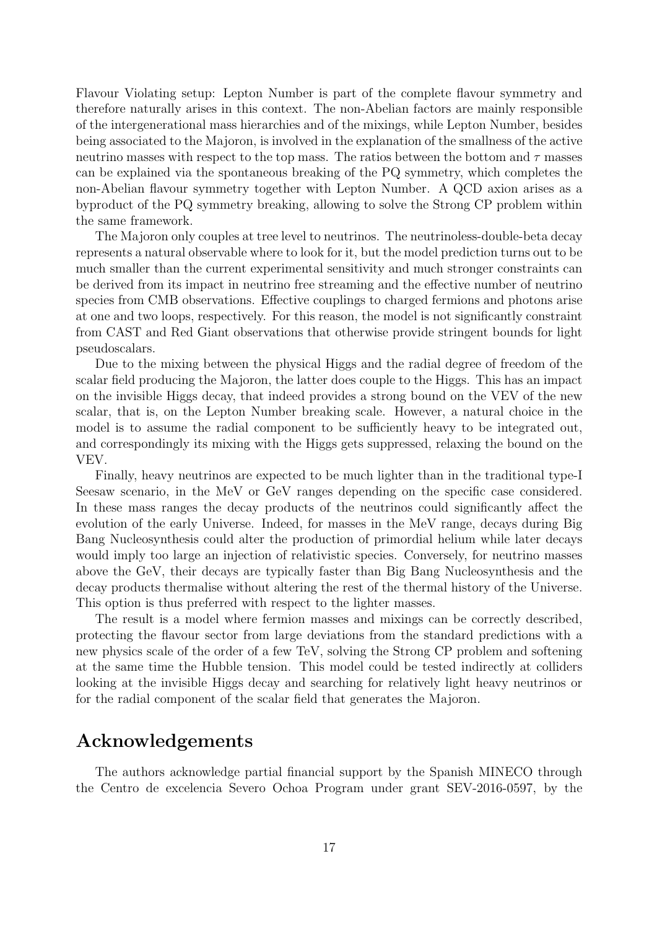Flavour Violating setup: Lepton Number is part of the complete flavour symmetry and therefore naturally arises in this context. The non-Abelian factors are mainly responsible of the intergenerational mass hierarchies and of the mixings, while Lepton Number, besides being associated to the Majoron, is involved in the explanation of the smallness of the active neutrino masses with respect to the top mass. The ratios between the bottom and  $\tau$  masses can be explained via the spontaneous breaking of the PQ symmetry, which completes the non-Abelian flavour symmetry together with Lepton Number. A QCD axion arises as a byproduct of the PQ symmetry breaking, allowing to solve the Strong CP problem within the same framework.

The Majoron only couples at tree level to neutrinos. The neutrinoless-double-beta decay represents a natural observable where to look for it, but the model prediction turns out to be much smaller than the current experimental sensitivity and much stronger constraints can be derived from its impact in neutrino free streaming and the effective number of neutrino species from CMB observations. Effective couplings to charged fermions and photons arise at one and two loops, respectively. For this reason, the model is not significantly constraint from CAST and Red Giant observations that otherwise provide stringent bounds for light pseudoscalars.

Due to the mixing between the physical Higgs and the radial degree of freedom of the scalar field producing the Majoron, the latter does couple to the Higgs. This has an impact on the invisible Higgs decay, that indeed provides a strong bound on the VEV of the new scalar, that is, on the Lepton Number breaking scale. However, a natural choice in the model is to assume the radial component to be sufficiently heavy to be integrated out, and correspondingly its mixing with the Higgs gets suppressed, relaxing the bound on the VEV.

Finally, heavy neutrinos are expected to be much lighter than in the traditional type-I Seesaw scenario, in the MeV or GeV ranges depending on the specific case considered. In these mass ranges the decay products of the neutrinos could significantly affect the evolution of the early Universe. Indeed, for masses in the MeV range, decays during Big Bang Nucleosynthesis could alter the production of primordial helium while later decays would imply too large an injection of relativistic species. Conversely, for neutrino masses above the GeV, their decays are typically faster than Big Bang Nucleosynthesis and the decay products thermalise without altering the rest of the thermal history of the Universe. This option is thus preferred with respect to the lighter masses.

The result is a model where fermion masses and mixings can be correctly described, protecting the flavour sector from large deviations from the standard predictions with a new physics scale of the order of a few TeV, solving the Strong CP problem and softening at the same time the Hubble tension. This model could be tested indirectly at colliders looking at the invisible Higgs decay and searching for relatively light heavy neutrinos or for the radial component of the scalar field that generates the Majoron.

## Acknowledgements

The authors acknowledge partial financial support by the Spanish MINECO through the Centro de excelencia Severo Ochoa Program under grant SEV-2016-0597, by the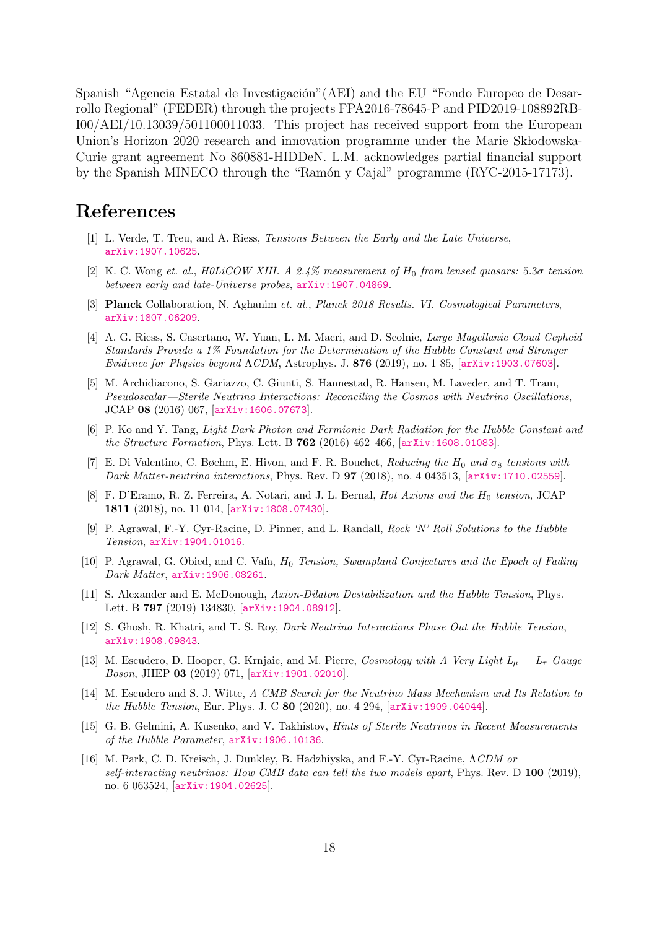Spanish "Agencia Estatal de Investigación"(AEI) and the EU "Fondo Europeo de Desarrollo Regional" (FEDER) through the projects FPA2016-78645-P and PID2019-108892RB-I00/AEI/10.13039/501100011033. This project has received support from the European Union's Horizon 2020 research and innovation programme under the Marie Sk bodowska-Curie grant agreement No 860881-HIDDeN. L.M. acknowledges partial financial support by the Spanish MINECO through the "Ramón y Cajal" programme (RYC-2015-17173).

## References

- <span id="page-18-0"></span>[1] L. Verde, T. Treu, and A. Riess, Tensions Between the Early and the Late Universe, [arXiv:1907.10625](http://xxx.arxiv.org/abs/1907.10625).
- <span id="page-18-1"></span>[2] K. C. Wong et. al., H0LiCOW XIII. A 2.4% measurement of  $H_0$  from lensed quasars: 5.3 $\sigma$  tension between early and late-Universe probes, [arXiv:1907.04869](http://xxx.arxiv.org/abs/1907.04869).
- <span id="page-18-2"></span>[3] Planck Collaboration, N. Aghanim et. al., Planck 2018 Results. VI. Cosmological Parameters, [arXiv:1807.06209](http://xxx.arxiv.org/abs/1807.06209).
- <span id="page-18-3"></span>[4] A. G. Riess, S. Casertano, W. Yuan, L. M. Macri, and D. Scolnic, *Large Magellanic Cloud Cepheid* Standards Provide a 1% Foundation for the Determination of the Hubble Constant and Stronger Evidence for Physics beyond  $\Lambda CDM$ , Astrophys. J. 876 (2019), no. 1 85, [[arXiv:1903.07603](http://xxx.arxiv.org/abs/1903.07603)].
- <span id="page-18-4"></span>[5] M. Archidiacono, S. Gariazzo, C. Giunti, S. Hannestad, R. Hansen, M. Laveder, and T. Tram, Pseudoscalar—Sterile Neutrino Interactions: Reconciling the Cosmos with Neutrino Oscillations, JCAP 08 (2016) 067, [[arXiv:1606.07673](http://xxx.arxiv.org/abs/1606.07673)].
- [6] P. Ko and Y. Tang, Light Dark Photon and Fermionic Dark Radiation for the Hubble Constant and the Structure Formation, Phys. Lett. B 762 (2016) 462–466, [[arXiv:1608.01083](http://xxx.arxiv.org/abs/1608.01083)].
- [7] E. Di Valentino, C. Bøehm, E. Hivon, and F. R. Bouchet, Reducing the H<sub>0</sub> and  $\sigma_8$  tensions with Dark Matter-neutrino interactions, Phys. Rev. D **97** (2018), no. 4 043513, [[arXiv:1710.02559](http://xxx.arxiv.org/abs/1710.02559)].
- [8] F. D'Eramo, R. Z. Ferreira, A. Notari, and J. L. Bernal, *Hot Axions and the H*<sub>0</sub> tension, JCAP 1811 (2018), no. 11 014, [[arXiv:1808.07430](http://xxx.arxiv.org/abs/1808.07430)].
- [9] P. Agrawal, F.-Y. Cyr-Racine, D. Pinner, and L. Randall, Rock 'N' Roll Solutions to the Hubble Tension, [arXiv:1904.01016](http://xxx.arxiv.org/abs/1904.01016).
- [10] P. Agrawal, G. Obied, and C. Vafa,  $H_0$  Tension, Swampland Conjectures and the Epoch of Fading Dark Matter, [arXiv:1906.08261](http://xxx.arxiv.org/abs/1906.08261).
- [11] S. Alexander and E. McDonough, Axion-Dilaton Destabilization and the Hubble Tension, Phys. Lett. B 797 (2019) 134830, [[arXiv:1904.08912](http://xxx.arxiv.org/abs/1904.08912)].
- [12] S. Ghosh, R. Khatri, and T. S. Roy, Dark Neutrino Interactions Phase Out the Hubble Tension, [arXiv:1908.09843](http://xxx.arxiv.org/abs/1908.09843).
- [13] M. Escudero, D. Hooper, G. Krnjaic, and M. Pierre, Cosmology with A Very Light  $L_{\mu} L_{\tau}$  Gauge Boson, JHEP 03 (2019) 071, [[arXiv:1901.02010](http://xxx.arxiv.org/abs/1901.02010)].
- <span id="page-18-5"></span>[14] M. Escudero and S. J. Witte, A CMB Search for the Neutrino Mass Mechanism and Its Relation to the Hubble Tension, Eur. Phys. J. C 80 (2020), no. 4 294, [[arXiv:1909.04044](http://xxx.arxiv.org/abs/1909.04044)].
- [15] G. B. Gelmini, A. Kusenko, and V. Takhistov, Hints of Sterile Neutrinos in Recent Measurements of the Hubble Parameter, [arXiv:1906.10136](http://xxx.arxiv.org/abs/1906.10136).
- [16] M. Park, C. D. Kreisch, J. Dunkley, B. Hadzhiyska, and F.-Y. Cyr-Racine, ΛCDM or self-interacting neutrinos: How CMB data can tell the two models apart, Phys. Rev.  $D$  100 (2019), no. 6 063524, [[arXiv:1904.02625](http://xxx.arxiv.org/abs/1904.02625)].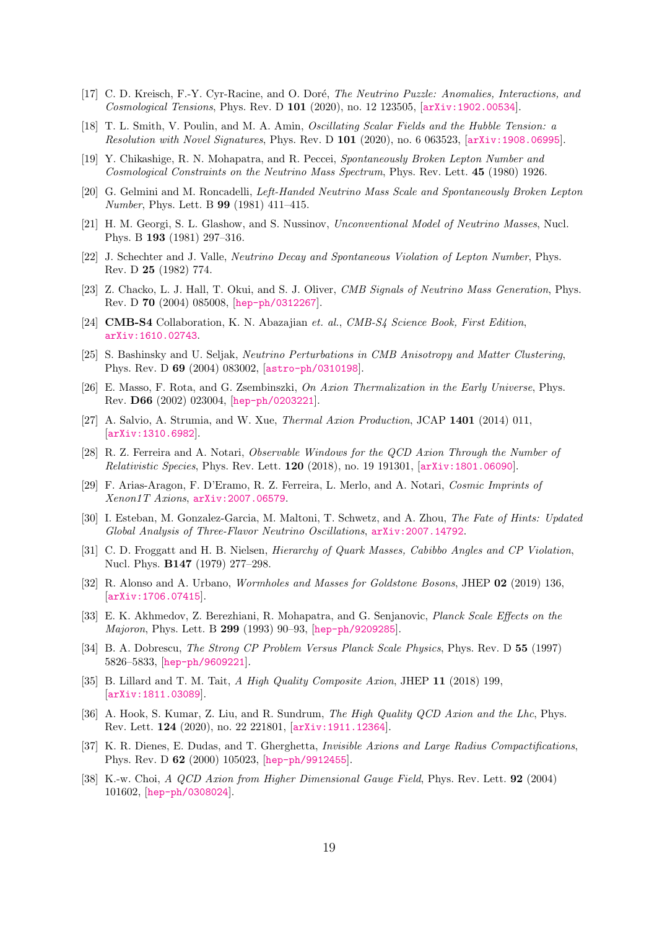- [17] C. D. Kreisch, F.-Y. Cyr-Racine, and O. Doré, *The Neutrino Puzzle: Anomalies, Interactions, and* Cosmological Tensions, Phys. Rev. D 101 (2020), no. 12 123505, [[arXiv:1902.00534](http://xxx.arxiv.org/abs/1902.00534)].
- <span id="page-19-0"></span>[18] T. L. Smith, V. Poulin, and M. A. Amin, Oscillating Scalar Fields and the Hubble Tension: a Resolution with Novel Signatures, Phys. Rev. D 101 (2020), no. 6 063523, [[arXiv:1908.06995](http://xxx.arxiv.org/abs/1908.06995)].
- <span id="page-19-1"></span>[19] Y. Chikashige, R. N. Mohapatra, and R. Peccei, Spontaneously Broken Lepton Number and Cosmological Constraints on the Neutrino Mass Spectrum, Phys. Rev. Lett. 45 (1980) 1926.
- [20] G. Gelmini and M. Roncadelli, Left-Handed Neutrino Mass Scale and Spontaneously Broken Lepton Number, Phys. Lett. B 99 (1981) 411–415.
- [21] H. M. Georgi, S. L. Glashow, and S. Nussinov, Unconventional Model of Neutrino Masses, Nucl. Phys. B 193 (1981) 297–316.
- <span id="page-19-2"></span>[22] J. Schechter and J. Valle, Neutrino Decay and Spontaneous Violation of Lepton Number, Phys. Rev. D 25 (1982) 774.
- <span id="page-19-3"></span>[23] Z. Chacko, L. J. Hall, T. Okui, and S. J. Oliver, CMB Signals of Neutrino Mass Generation, Phys. Rev. D 70 (2004) 085008, [[hep-ph/0312267](http://xxx.arxiv.org/abs/hep-ph/0312267)].
- <span id="page-19-4"></span>[24] **CMB-S4** Collaboration, K. N. Abazajian et. al., CMB-S4 Science Book, First Edition, [arXiv:1610.02743](http://xxx.arxiv.org/abs/1610.02743).
- <span id="page-19-5"></span>[25] S. Bashinsky and U. Seljak, Neutrino Perturbations in CMB Anisotropy and Matter Clustering, Phys. Rev. D 69 (2004) 083002, [[astro-ph/0310198](http://xxx.arxiv.org/abs/astro-ph/0310198)].
- <span id="page-19-6"></span>[26] E. Masso, F. Rota, and G. Zsembinszki, On Axion Thermalization in the Early Universe, Phys. Rev. D66 (2002) 023004, [[hep-ph/0203221](http://xxx.arxiv.org/abs/hep-ph/0203221)].
- [27] A. Salvio, A. Strumia, and W. Xue, Thermal Axion Production, JCAP 1401 (2014) 011, [[arXiv:1310.6982](http://xxx.arxiv.org/abs/1310.6982)].
- [28] R. Z. Ferreira and A. Notari, Observable Windows for the QCD Axion Through the Number of Relativistic Species, Phys. Rev. Lett. 120 (2018), no. 19 191301, [[arXiv:1801.06090](http://xxx.arxiv.org/abs/1801.06090)].
- <span id="page-19-7"></span>[29] F. Arias-Aragon, F. D'Eramo, R. Z. Ferreira, L. Merlo, and A. Notari, Cosmic Imprints of Xenon1T Axions, [arXiv:2007.06579](http://xxx.arxiv.org/abs/2007.06579).
- <span id="page-19-8"></span>[30] I. Esteban, M. Gonzalez-Garcia, M. Maltoni, T. Schwetz, and A. Zhou, The Fate of Hints: Updated Global Analysis of Three-Flavor Neutrino Oscillations, [arXiv:2007.14792](http://xxx.arxiv.org/abs/2007.14792).
- <span id="page-19-9"></span>[31] C. D. Froggatt and H. B. Nielsen, *Hierarchy of Quark Masses, Cabibbo Angles and CP Violation*, Nucl. Phys. B147 (1979) 277–298.
- <span id="page-19-10"></span>[32] R. Alonso and A. Urbano, *Wormholes and Masses for Goldstone Bosons*, JHEP 02 (2019) 136, [[arXiv:1706.07415](http://xxx.arxiv.org/abs/1706.07415)].
- <span id="page-19-11"></span>[33] E. K. Akhmedov, Z. Berezhiani, R. Mohapatra, and G. Senjanovic, Planck Scale Effects on the Majoron, Phys. Lett. B 299 (1993) 90–93, [[hep-ph/9209285](http://xxx.arxiv.org/abs/hep-ph/9209285)].
- <span id="page-19-12"></span>[34] B. A. Dobrescu, The Strong CP Problem Versus Planck Scale Physics, Phys. Rev. D 55 (1997) 5826–5833, [[hep-ph/9609221](http://xxx.arxiv.org/abs/hep-ph/9609221)].
- [35] B. Lillard and T. M. Tait, A High Quality Composite Axion, JHEP 11 (2018) 199, [[arXiv:1811.03089](http://xxx.arxiv.org/abs/1811.03089)].
- [36] A. Hook, S. Kumar, Z. Liu, and R. Sundrum, *The High Quality QCD Axion and the Lhc*, Phys. Rev. Lett. 124 (2020), no. 22 221801, [[arXiv:1911.12364](http://xxx.arxiv.org/abs/1911.12364)].
- [37] K. R. Dienes, E. Dudas, and T. Gherghetta, Invisible Axions and Large Radius Compactifications, Phys. Rev. D 62 (2000) 105023, [[hep-ph/9912455](http://xxx.arxiv.org/abs/hep-ph/9912455)].
- [38] K.-w. Choi, A QCD Axion from Higher Dimensional Gauge Field, Phys. Rev. Lett. 92 (2004) 101602, [[hep-ph/0308024](http://xxx.arxiv.org/abs/hep-ph/0308024)].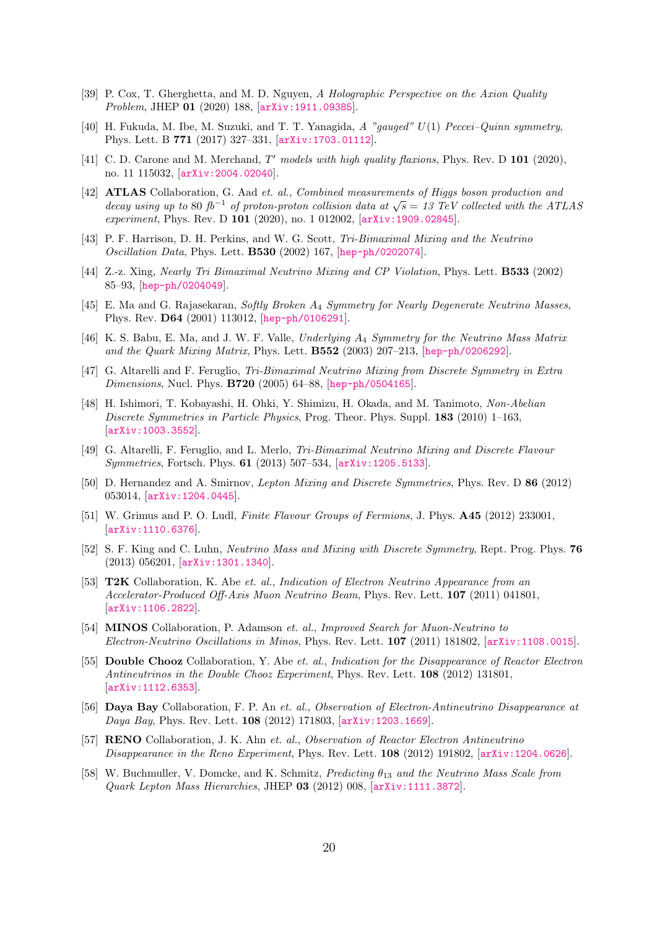- [39] P. Cox, T. Gherghetta, and M. D. Nguyen, A Holographic Perspective on the Axion Quality Problem, JHEP 01 (2020) 188, [[arXiv:1911.09385](http://xxx.arxiv.org/abs/1911.09385)].
- [40] H. Fukuda, M. Ibe, M. Suzuki, and T. T. Yanagida, A "gauged"  $U(1)$  Peccei–Quinn symmetry, Phys. Lett. B 771 (2017) 327–331, [[arXiv:1703.01112](http://xxx.arxiv.org/abs/1703.01112)].
- <span id="page-20-0"></span>[41] C. D. Carone and M. Merchand,  $T'$  models with high quality flaxions, Phys. Rev. D 101 (2020), no. 11 115032, [[arXiv:2004.02040](http://xxx.arxiv.org/abs/2004.02040)].
- <span id="page-20-1"></span>[42] ATLAS Collaboration, G. Aad et. al., Combined measurements of Higgs boson production and **ATLAS** Conaboration, G. Aad et. at., Comothed measurements of Inggs obson production and decay using up to 80 fb<sup>-1</sup> of proton-proton collision data at  $\sqrt{s} = 13$  TeV collected with the ATLAS experiment, Phys. Rev. D 101 (2020), no. 1 012002,  $\left[$ [arXiv:1909.02845](http://xxx.arxiv.org/abs/1909.02845).
- <span id="page-20-2"></span>[43] P. F. Harrison, D. H. Perkins, and W. G. Scott, Tri-Bimaximal Mixing and the Neutrino Oscillation Data, Phys. Lett. B530 (2002) 167, [[hep-ph/0202074](http://xxx.arxiv.org/abs/hep-ph/0202074)].
- <span id="page-20-3"></span>[44] Z.-z. Xing, Nearly Tri Bimaximal Neutrino Mixing and CP Violation, Phys. Lett. B533 (2002) 85–93, [[hep-ph/0204049](http://xxx.arxiv.org/abs/hep-ph/0204049)].
- <span id="page-20-4"></span>[45] E. Ma and G. Rajasekaran, Softly Broken A<sup>4</sup> Symmetry for Nearly Degenerate Neutrino Masses, Phys. Rev. D64 (2001) 113012, [[hep-ph/0106291](http://xxx.arxiv.org/abs/hep-ph/0106291)].
- [46] K. S. Babu, E. Ma, and J. W. F. Valle, Underlying  $A_4$  Symmetry for the Neutrino Mass Matrix and the Quark Mixing Matrix, Phys. Lett. B552 (2003) 207–213, [[hep-ph/0206292](http://xxx.arxiv.org/abs/hep-ph/0206292)].
- [47] G. Altarelli and F. Feruglio, Tri-Bimaximal Neutrino Mixing from Discrete Symmetry in Extra Dimensions, Nucl. Phys. B720 (2005) 64–88, [[hep-ph/0504165](http://xxx.arxiv.org/abs/hep-ph/0504165)].
- [48] H. Ishimori, T. Kobayashi, H. Ohki, Y. Shimizu, H. Okada, and M. Tanimoto, Non-Abelian Discrete Symmetries in Particle Physics, Prog. Theor. Phys. Suppl. 183 (2010) 1–163, [[arXiv:1003.3552](http://xxx.arxiv.org/abs/1003.3552)].
- [49] G. Altarelli, F. Feruglio, and L. Merlo, Tri-Bimaximal Neutrino Mixing and Discrete Flavour Symmetries, Fortsch. Phys. 61 (2013) 507–534, [[arXiv:1205.5133](http://xxx.arxiv.org/abs/1205.5133)].
- [50] D. Hernandez and A. Smirnov, Lepton Mixing and Discrete Symmetries, Phys. Rev. D 86 (2012) 053014, [[arXiv:1204.0445](http://xxx.arxiv.org/abs/1204.0445)].
- [51] W. Grimus and P. O. Ludl, Finite Flavour Groups of Fermions, J. Phys. **A45** (2012) 233001, [[arXiv:1110.6376](http://xxx.arxiv.org/abs/1110.6376)].
- <span id="page-20-5"></span>[52] S. F. King and C. Luhn, Neutrino Mass and Mixing with Discrete Symmetry, Rept. Prog. Phys. 76 (2013) 056201, [[arXiv:1301.1340](http://xxx.arxiv.org/abs/1301.1340)].
- <span id="page-20-6"></span>[53] T2K Collaboration, K. Abe et. al., Indication of Electron Neutrino Appearance from an Accelerator-Produced Off-Axis Muon Neutrino Beam, Phys. Rev. Lett. 107 (2011) 041801, [[arXiv:1106.2822](http://xxx.arxiv.org/abs/1106.2822)].
- [54] MINOS Collaboration, P. Adamson et. al., Improved Search for Muon-Neutrino to Electron-Neutrino Oscillations in Minos, Phys. Rev. Lett. 107 (2011) 181802, [[arXiv:1108.0015](http://xxx.arxiv.org/abs/1108.0015)].
- [55] **Double Chooz** Collaboration, Y. Abe *et. al., Indication for the Disappearance of Reactor Electron* Antineutrinos in the Double Chooz Experiment, Phys. Rev. Lett. 108 (2012) 131801, [[arXiv:1112.6353](http://xxx.arxiv.org/abs/1112.6353)].
- [56] Daya Bay Collaboration, F. P. An et. al., Observation of Electron-Antineutrino Disappearance at Daya Bay, Phys. Rev. Lett. 108 (2012) 171803, [[arXiv:1203.1669](http://xxx.arxiv.org/abs/1203.1669)].
- <span id="page-20-7"></span>[57] RENO Collaboration, J. K. Ahn et. al., Observation of Reactor Electron Antineutrino Disappearance in the Reno Experiment, Phys. Rev. Lett. 108 (2012) 191802, [[arXiv:1204.0626](http://xxx.arxiv.org/abs/1204.0626)].
- <span id="page-20-8"></span>[58] W. Buchmuller, V. Domcke, and K. Schmitz, Predicting  $\theta_{13}$  and the Neutrino Mass Scale from Quark Lepton Mass Hierarchies, JHEP 03 (2012) 008, [[arXiv:1111.3872](http://xxx.arxiv.org/abs/1111.3872)].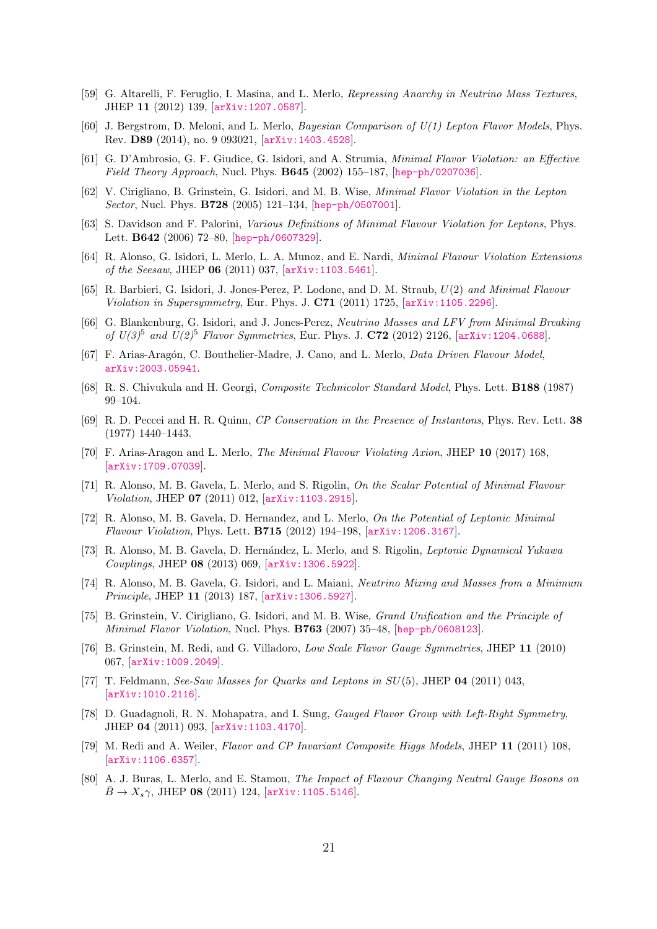- [59] G. Altarelli, F. Feruglio, I. Masina, and L. Merlo, Repressing Anarchy in Neutrino Mass Textures, JHEP 11 (2012) 139, [[arXiv:1207.0587](http://xxx.arxiv.org/abs/1207.0587)].
- <span id="page-21-0"></span>[60] J. Bergstrom, D. Meloni, and L. Merlo, Bayesian Comparison of U(1) Lepton Flavor Models, Phys. Rev. D89 (2014), no. 9 093021, [[arXiv:1403.4528](http://xxx.arxiv.org/abs/1403.4528)].
- <span id="page-21-1"></span>[61] G. D'Ambrosio, G. F. Giudice, G. Isidori, and A. Strumia, Minimal Flavor Violation: an Effective *Field Theory Approach*, Nucl. Phys. **B645** (2002) 155–187, [[hep-ph/0207036](http://xxx.arxiv.org/abs/hep-ph/0207036)].
- <span id="page-21-2"></span>[62] V. Cirigliano, B. Grinstein, G. Isidori, and M. B. Wise, Minimal Flavor Violation in the Lepton Sector, Nucl. Phys. B728 (2005) 121–134, [[hep-ph/0507001](http://xxx.arxiv.org/abs/hep-ph/0507001)].
- <span id="page-21-13"></span>[63] S. Davidson and F. Palorini, Various Definitions of Minimal Flavour Violation for Leptons, Phys. Lett. B642 (2006) 72–80, [[hep-ph/0607329](http://xxx.arxiv.org/abs/hep-ph/0607329)].
- <span id="page-21-3"></span>[64] R. Alonso, G. Isidori, L. Merlo, L. A. Munoz, and E. Nardi, Minimal Flavour Violation Extensions of the Seesaw, JHEP 06 (2011) 037, [[arXiv:1103.5461](http://xxx.arxiv.org/abs/1103.5461)].
- <span id="page-21-4"></span>[65] R. Barbieri, G. Isidori, J. Jones-Perez, P. Lodone, and D. M. Straub, U(2) and Minimal Flavour Violation in Supersymmetry, Eur. Phys. J.  $C71$  (2011) 1725,  $\ar{xiv:1105.2296}$ .
- <span id="page-21-5"></span>[66] G. Blankenburg, G. Isidori, and J. Jones-Perez, Neutrino Masses and LFV from Minimal Breaking of  $U(3)^5$  and  $U(2)^5$  Flavor Symmetries, Eur. Phys. J. C72 (2012) 2126, [[arXiv:1204.0688](http://xxx.arxiv.org/abs/1204.0688)].
- <span id="page-21-6"></span>[67] F. Arias-Aragón, C. Bouthelier-Madre, J. Cano, and L. Merlo, *Data Driven Flavour Model*, [arXiv:2003.05941](http://xxx.arxiv.org/abs/2003.05941).
- <span id="page-21-7"></span>[68] R. S. Chivukula and H. Georgi, Composite Technicolor Standard Model, Phys. Lett. B188 (1987) 99–104.
- <span id="page-21-8"></span>[69] R. D. Peccei and H. R. Quinn, CP Conservation in the Presence of Instantons, Phys. Rev. Lett. 38 (1977) 1440–1443.
- <span id="page-21-9"></span>[70] F. Arias-Aragon and L. Merlo, The Minimal Flavour Violating Axion, JHEP 10 (2017) 168, [[arXiv:1709.07039](http://xxx.arxiv.org/abs/1709.07039)].
- <span id="page-21-10"></span>[71] R. Alonso, M. B. Gavela, L. Merlo, and S. Rigolin, On the Scalar Potential of Minimal Flavour Violation, JHEP 07 (2011) 012, [[arXiv:1103.2915](http://xxx.arxiv.org/abs/1103.2915)].
- [72] R. Alonso, M. B. Gavela, D. Hernandez, and L. Merlo, On the Potential of Leptonic Minimal Flavour Violation, Phys. Lett. B715 (2012) 194–198, [[arXiv:1206.3167](http://xxx.arxiv.org/abs/1206.3167)].
- [73] R. Alonso, M. B. Gavela, D. Hernández, L. Merlo, and S. Rigolin, *Leptonic Dynamical Yukawa* Couplings, JHEP 08 (2013) 069, [[arXiv:1306.5922](http://xxx.arxiv.org/abs/1306.5922)].
- <span id="page-21-11"></span>[74] R. Alonso, M. B. Gavela, G. Isidori, and L. Maiani, Neutrino Mixing and Masses from a Minimum Principle, JHEP 11 (2013) 187, [[arXiv:1306.5927](http://xxx.arxiv.org/abs/1306.5927)].
- <span id="page-21-12"></span>[75] B. Grinstein, V. Cirigliano, G. Isidori, and M. B. Wise, Grand Unification and the Principle of Minimal Flavor Violation, Nucl. Phys. B763 (2007) 35–48, [[hep-ph/0608123](http://xxx.arxiv.org/abs/hep-ph/0608123)].
- [76] B. Grinstein, M. Redi, and G. Villadoro, Low Scale Flavor Gauge Symmetries, JHEP 11 (2010) 067, [[arXiv:1009.2049](http://xxx.arxiv.org/abs/1009.2049)].
- [77] T. Feldmann, See-Saw Masses for Quarks and Leptons in SU(5), JHEP 04 (2011) 043, [[arXiv:1010.2116](http://xxx.arxiv.org/abs/1010.2116)].
- [78] D. Guadagnoli, R. N. Mohapatra, and I. Sung, Gauged Flavor Group with Left-Right Symmetry, JHEP 04 (2011) 093, [[arXiv:1103.4170](http://xxx.arxiv.org/abs/1103.4170)].
- [79] M. Redi and A. Weiler, Flavor and CP Invariant Composite Higgs Models, JHEP 11 (2011) 108, [[arXiv:1106.6357](http://xxx.arxiv.org/abs/1106.6357)].
- [80] A. J. Buras, L. Merlo, and E. Stamou, The Impact of Flavour Changing Neutral Gauge Bosons on  $\bar{B} \to X_s \gamma$ , JHEP 08 (2011) 124, [[arXiv:1105.5146](http://xxx.arxiv.org/abs/1105.5146)].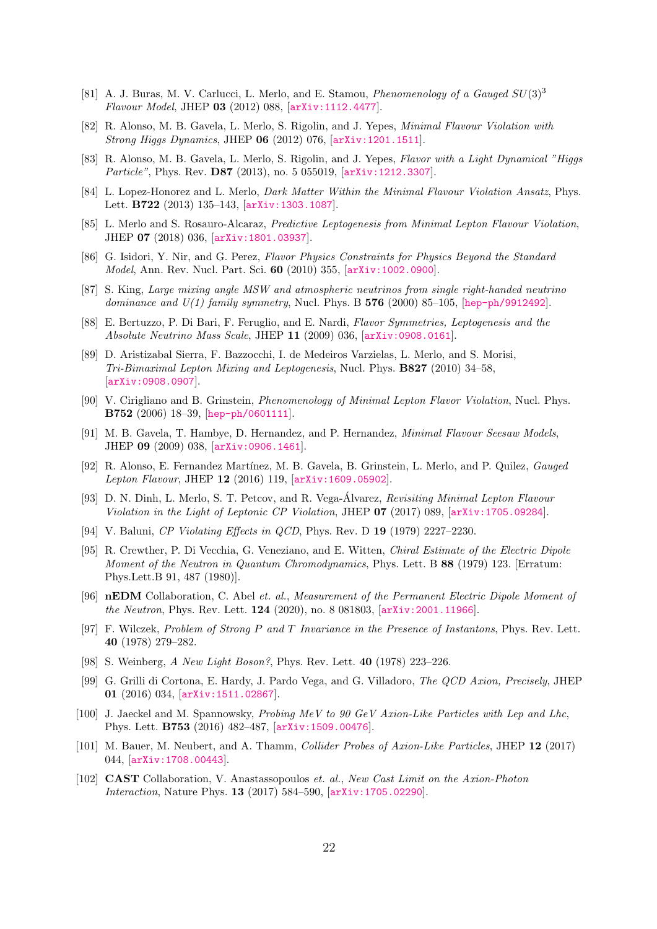- [81] A. J. Buras, M. V. Carlucci, L. Merlo, and E. Stamou, *Phenomenology of a Gauged SU*(3)<sup>3</sup> Flavour Model, JHEP 03 (2012) 088, [[arXiv:1112.4477](http://xxx.arxiv.org/abs/1112.4477)].
- [82] R. Alonso, M. B. Gavela, L. Merlo, S. Rigolin, and J. Yepes, Minimal Flavour Violation with Strong Higgs Dynamics, JHEP 06 (2012) 076, [[arXiv:1201.1511](http://xxx.arxiv.org/abs/1201.1511)].
- [83] R. Alonso, M. B. Gavela, L. Merlo, S. Rigolin, and J. Yepes, Flavor with a Light Dynamical "Higgs Particle", Phys. Rev. **D87** (2013), no. 5 055019,  $\vert \text{arXiv:1212.3307} \vert$  $\vert \text{arXiv:1212.3307} \vert$  $\vert \text{arXiv:1212.3307} \vert$ .
- [84] L. Lopez-Honorez and L. Merlo, Dark Matter Within the Minimal Flavour Violation Ansatz, Phys. Lett. B722 (2013) 135–143, [[arXiv:1303.1087](http://xxx.arxiv.org/abs/1303.1087)].
- <span id="page-22-0"></span>[85] L. Merlo and S. Rosauro-Alcaraz, Predictive Leptogenesis from Minimal Lepton Flavour Violation, JHEP 07 (2018) 036, [[arXiv:1801.03937](http://xxx.arxiv.org/abs/1801.03937)].
- <span id="page-22-1"></span>[86] G. Isidori, Y. Nir, and G. Perez, Flavor Physics Constraints for Physics Beyond the Standard Model, Ann. Rev. Nucl. Part. Sci. 60 (2010) 355, [[arXiv:1002.0900](http://xxx.arxiv.org/abs/1002.0900)].
- <span id="page-22-2"></span>[87] S. King, Large mixing angle MSW and atmospheric neutrinos from single right-handed neutrino dominance and  $U(1)$  family symmetry, Nucl. Phys. B 576 (2000) 85–105, [[hep-ph/9912492](http://xxx.arxiv.org/abs/hep-ph/9912492)].
- <span id="page-22-3"></span>[88] E. Bertuzzo, P. Di Bari, F. Feruglio, and E. Nardi, Flavor Symmetries, Leptogenesis and the Absolute Neutrino Mass Scale, JHEP 11 (2009) 036, [[arXiv:0908.0161](http://xxx.arxiv.org/abs/0908.0161)].
- <span id="page-22-4"></span>[89] D. Aristizabal Sierra, F. Bazzocchi, I. de Medeiros Varzielas, L. Merlo, and S. Morisi, Tri-Bimaximal Lepton Mixing and Leptogenesis, Nucl. Phys. B827 (2010) 34–58, [[arXiv:0908.0907](http://xxx.arxiv.org/abs/0908.0907)].
- <span id="page-22-5"></span>[90] V. Cirigliano and B. Grinstein, Phenomenology of Minimal Lepton Flavor Violation, Nucl. Phys. B752 (2006) 18–39, [[hep-ph/0601111](http://xxx.arxiv.org/abs/hep-ph/0601111)].
- [91] M. B. Gavela, T. Hambye, D. Hernandez, and P. Hernandez, Minimal Flavour Seesaw Models, JHEP 09 (2009) 038, [[arXiv:0906.1461](http://xxx.arxiv.org/abs/0906.1461)].
- [92] R. Alonso, E. Fernandez Martínez, M. B. Gavela, B. Grinstein, L. Merlo, and P. Quilez, *Gauged* Lepton Flavour, JHEP 12 (2016) 119, [[arXiv:1609.05902](http://xxx.arxiv.org/abs/1609.05902)].
- <span id="page-22-6"></span>[93] D. N. Dinh, L. Merlo, S. T. Petcov, and R. Vega-Álvarez, Revisiting Minimal Lepton Flavour Violation in the Light of Leptonic CP Violation, JHEP 07 (2017) 089, [[arXiv:1705.09284](http://xxx.arxiv.org/abs/1705.09284)].
- <span id="page-22-7"></span>[94] V. Baluni, CP Violating Effects in QCD, Phys. Rev. D 19 (1979) 2227–2230.
- <span id="page-22-8"></span>[95] R. Crewther, P. Di Vecchia, G. Veneziano, and E. Witten, Chiral Estimate of the Electric Dipole Moment of the Neutron in Quantum Chromodynamics, Phys. Lett. B 88 (1979) 123. [Erratum: Phys.Lett.B 91, 487 (1980)].
- <span id="page-22-9"></span>[96] nEDM Collaboration, C. Abel et. al., Measurement of the Permanent Electric Dipole Moment of the Neutron, Phys. Rev. Lett. 124 (2020), no. 8 081803, [[arXiv:2001.11966](http://xxx.arxiv.org/abs/2001.11966)].
- <span id="page-22-10"></span>[97] F. Wilczek, Problem of Strong P and T Invariance in the Presence of Instantons, Phys. Rev. Lett. 40 (1978) 279–282.
- <span id="page-22-11"></span>[98] S. Weinberg, A New Light Boson?, Phys. Rev. Lett. 40 (1978) 223–226.
- <span id="page-22-12"></span>[99] G. Grilli di Cortona, E. Hardy, J. Pardo Vega, and G. Villadoro, The QCD Axion, Precisely, JHEP 01 (2016) 034, [[arXiv:1511.02867](http://xxx.arxiv.org/abs/1511.02867)].
- <span id="page-22-13"></span>[100] J. Jaeckel and M. Spannowsky, Probing MeV to 90 GeV Axion-Like Particles with Lep and Lhc, Phys. Lett. B753 (2016) 482–487, [[arXiv:1509.00476](http://xxx.arxiv.org/abs/1509.00476)].
- [101] M. Bauer, M. Neubert, and A. Thamm, Collider Probes of Axion-Like Particles, JHEP 12 (2017) 044, [[arXiv:1708.00443](http://xxx.arxiv.org/abs/1708.00443)].
- <span id="page-22-14"></span>[102] CAST Collaboration, V. Anastassopoulos et. al., New Cast Limit on the Axion-Photon Interaction, Nature Phys. 13 (2017) 584–590, [[arXiv:1705.02290](http://xxx.arxiv.org/abs/1705.02290)].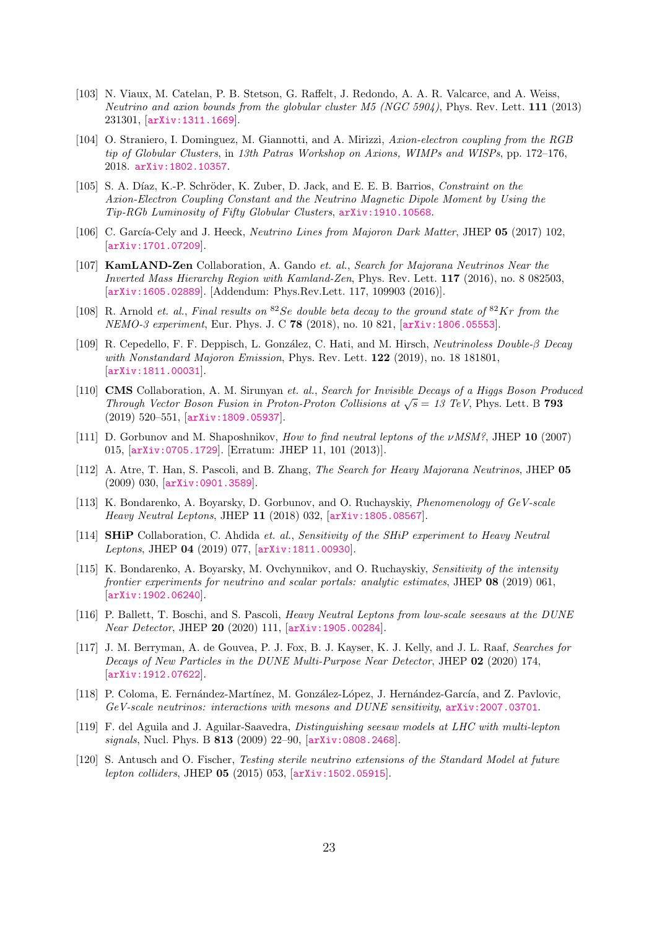- <span id="page-23-0"></span>[103] N. Viaux, M. Catelan, P. B. Stetson, G. Raffelt, J. Redondo, A. A. R. Valcarce, and A. Weiss, Neutrino and axion bounds from the globular cluster M5 (NGC 5904), Phys. Rev. Lett. 111 (2013) 231301, [[arXiv:1311.1669](http://xxx.arxiv.org/abs/1311.1669)].
- [104] O. Straniero, I. Dominguez, M. Giannotti, and A. Mirizzi, Axion-electron coupling from the RGB tip of Globular Clusters, in 13th Patras Workshop on Axions, WIMPs and WISPs, pp. 172–176, 2018. [arXiv:1802.10357](http://xxx.arxiv.org/abs/1802.10357).
- <span id="page-23-1"></span>[105] S. A. Díaz, K.-P. Schröder, K. Zuber, D. Jack, and E. E. B. Barrios, Constraint on the Axion-Electron Coupling Constant and the Neutrino Magnetic Dipole Moment by Using the Tip-RGb Luminosity of Fifty Globular Clusters, [arXiv:1910.10568](http://xxx.arxiv.org/abs/1910.10568).
- <span id="page-23-2"></span>[106] C. García-Cely and J. Heeck, Neutrino Lines from Majoron Dark Matter, JHEP 05 (2017) 102, [[arXiv:1701.07209](http://xxx.arxiv.org/abs/1701.07209)].
- <span id="page-23-3"></span>[107] KamLAND-Zen Collaboration, A. Gando et. al., Search for Majorana Neutrinos Near the Inverted Mass Hierarchy Region with Kamland-Zen, Phys. Rev. Lett. 117 (2016), no. 8 082503, [[arXiv:1605.02889](http://xxx.arxiv.org/abs/1605.02889)]. [Addendum: Phys.Rev.Lett. 117, 109903 (2016)].
- <span id="page-23-4"></span>[108] R. Arnold et. al., Final results on <sup>82</sup>Se double beta decay to the ground state of <sup>82</sup>Kr from the NEMO-3 experiment, Eur. Phys. J. C 78 (2018), no. 10 821, [[arXiv:1806.05553](http://xxx.arxiv.org/abs/1806.05553)].
- <span id="page-23-5"></span>[109] R. Cepedello, F. F. Deppisch, L. Gonz´alez, C. Hati, and M. Hirsch, Neutrinoless Double-β Decay with Nonstandard Majoron Emission, Phys. Rev. Lett. **122** (2019), no. 18 181801, [[arXiv:1811.00031](http://xxx.arxiv.org/abs/1811.00031)].
- <span id="page-23-6"></span>[110] **CMS** Collaboration, A. M. Sirunyan et. al., Search for Invisible Decays of a Higgs Boson Produced **CIMS** Conaboration, A. M. Sirunyan et. at., Search for *Invisible Decays of a fluggs boson Frough Vector Boson Fusion in Proton-Proton Collisions at*  $\sqrt{s} = 13$  *TeV, Phys. Lett. B 793* (2019) 520–551, [[arXiv:1809.05937](http://xxx.arxiv.org/abs/1809.05937)].
- <span id="page-23-7"></span>[111] D. Gorbunov and M. Shaposhnikov, How to find neutral leptons of the  $\nu MSM$ ?, JHEP 10 (2007) 015, [[arXiv:0705.1729](http://xxx.arxiv.org/abs/0705.1729)]. [Erratum: JHEP 11, 101 (2013)].
- <span id="page-23-9"></span>[112] A. Atre, T. Han, S. Pascoli, and B. Zhang, The Search for Heavy Majorana Neutrinos, JHEP 05 (2009) 030, [[arXiv:0901.3589](http://xxx.arxiv.org/abs/0901.3589)].
- [113] K. Bondarenko, A. Boyarsky, D. Gorbunov, and O. Ruchayskiy, *Phenomenology of GeV-scale* Heavy Neutral Leptons, JHEP 11 (2018) 032, [[arXiv:1805.08567](http://xxx.arxiv.org/abs/1805.08567)].
- [114] **SHiP** Collaboration, C. Ahdida et. al., Sensitivity of the SHiP experiment to Heavy Neutral Leptons, JHEP 04 (2019) 077, [[arXiv:1811.00930](http://xxx.arxiv.org/abs/1811.00930)].
- [115] K. Bondarenko, A. Boyarsky, M. Ovchynnikov, and O. Ruchayskiy, Sensitivity of the intensity frontier experiments for neutrino and scalar portals: analytic estimates, JHEP 08 (2019) 061, [[arXiv:1902.06240](http://xxx.arxiv.org/abs/1902.06240)].
- [116] P. Ballett, T. Boschi, and S. Pascoli, Heavy Neutral Leptons from low-scale seesaws at the DUNE Near Detector, JHEP 20 (2020) 111, [[arXiv:1905.00284](http://xxx.arxiv.org/abs/1905.00284)].
- [117] J. M. Berryman, A. de Gouvea, P. J. Fox, B. J. Kayser, K. J. Kelly, and J. L. Raaf, Searches for Decays of New Particles in the DUNE Multi-Purpose Near Detector, JHEP 02 (2020) 174, [[arXiv:1912.07622](http://xxx.arxiv.org/abs/1912.07622)].
- <span id="page-23-8"></span>[118] P. Coloma, E. Fernández-Martínez, M. González-López, J. Hernández-García, and Z. Pavlovic, GeV-scale neutrinos: interactions with mesons and DUNE sensitivity, [arXiv:2007.03701](http://xxx.arxiv.org/abs/2007.03701).
- <span id="page-23-10"></span>[119] F. del Aguila and J. Aguilar-Saavedra, Distinguishing seesaw models at LHC with multi-lepton signals, Nucl. Phys. B 813 (2009) 22–90, [[arXiv:0808.2468](http://xxx.arxiv.org/abs/0808.2468)].
- [120] S. Antusch and O. Fischer, Testing sterile neutrino extensions of the Standard Model at future lepton colliders, JHEP 05 (2015) 053, [[arXiv:1502.05915](http://xxx.arxiv.org/abs/1502.05915)].